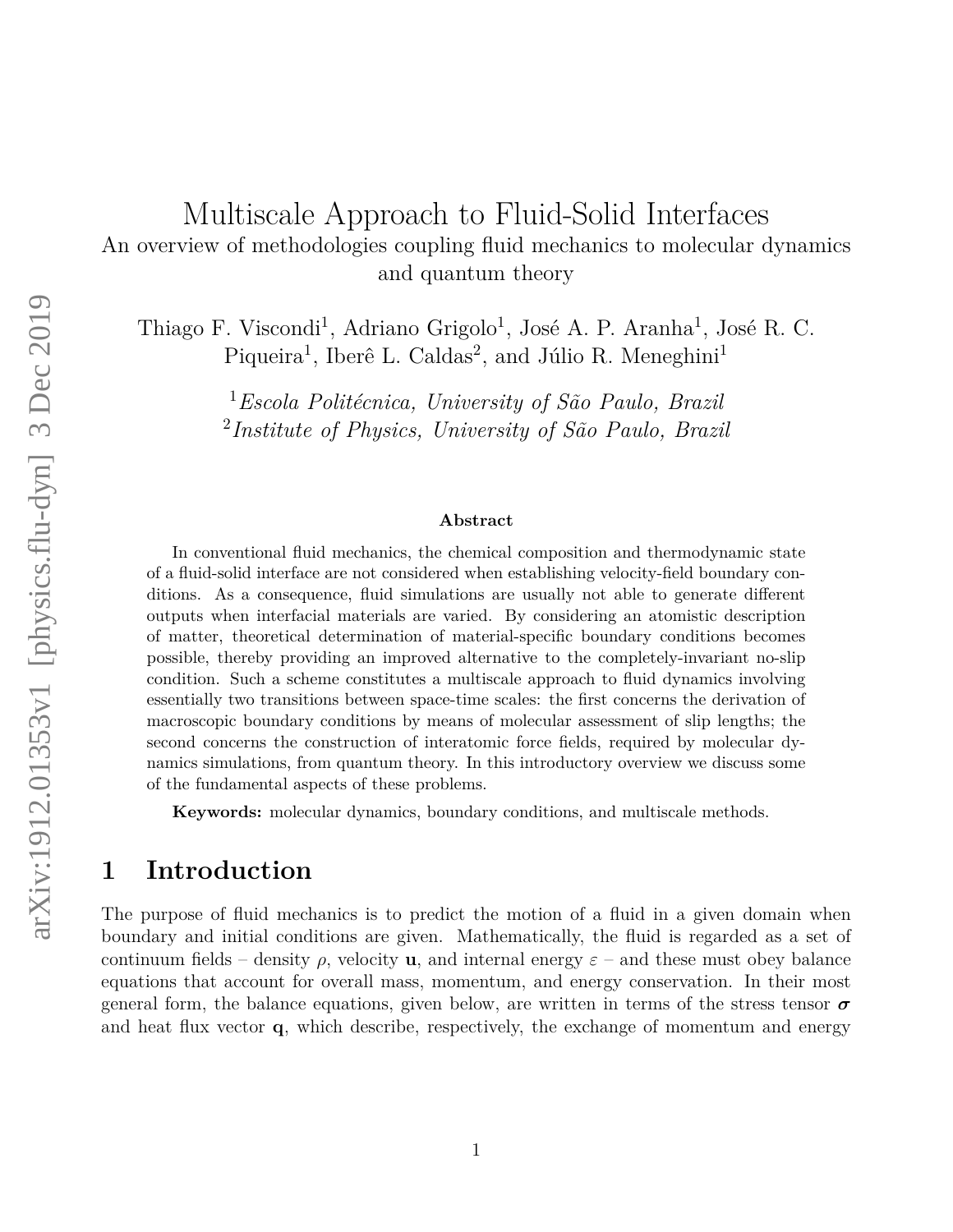# Multiscale Approach to Fluid-Solid Interfaces An overview of methodologies coupling fluid mechanics to molecular dynamics and quantum theory

Thiago F. Viscondi<sup>1</sup>, Adriano Grigolo<sup>1</sup>, José A. P. Aranha<sup>1</sup>, José R. C. Piqueira<sup>1</sup>, Iberê L. Caldas<sup>2</sup>, and Júlio R. Meneghini<sup>1</sup>

> <sup>1</sup>*Escola Politécnica, University of São Paulo, Brazil* 2 *Institute of Physics, University of São Paulo, Brazil*

#### **Abstract**

In conventional fluid mechanics, the chemical composition and thermodynamic state of a fluid-solid interface are not considered when establishing velocity-field boundary conditions. As a consequence, fluid simulations are usually not able to generate different outputs when interfacial materials are varied. By considering an atomistic description of matter, theoretical determination of material-specific boundary conditions becomes possible, thereby providing an improved alternative to the completely-invariant no-slip condition. Such a scheme constitutes a multiscale approach to fluid dynamics involving essentially two transitions between space-time scales: the first concerns the derivation of macroscopic boundary conditions by means of molecular assessment of slip lengths; the second concerns the construction of interatomic force fields, required by molecular dynamics simulations, from quantum theory. In this introductory overview we discuss some of the fundamental aspects of these problems.

**Keywords:** molecular dynamics, boundary conditions, and multiscale methods.

## **1 Introduction**

The purpose of fluid mechanics is to predict the motion of a fluid in a given domain when boundary and initial conditions are given. Mathematically, the fluid is regarded as a set of continuum fields – density *ρ*, velocity **u**, and internal energy *ε* – and these must obey balance equations that account for overall mass, momentum, and energy conservation. In their most general form, the balance equations, given below, are written in terms of the stress tensor *σ* and heat flux vector **q**, which describe, respectively, the exchange of momentum and energy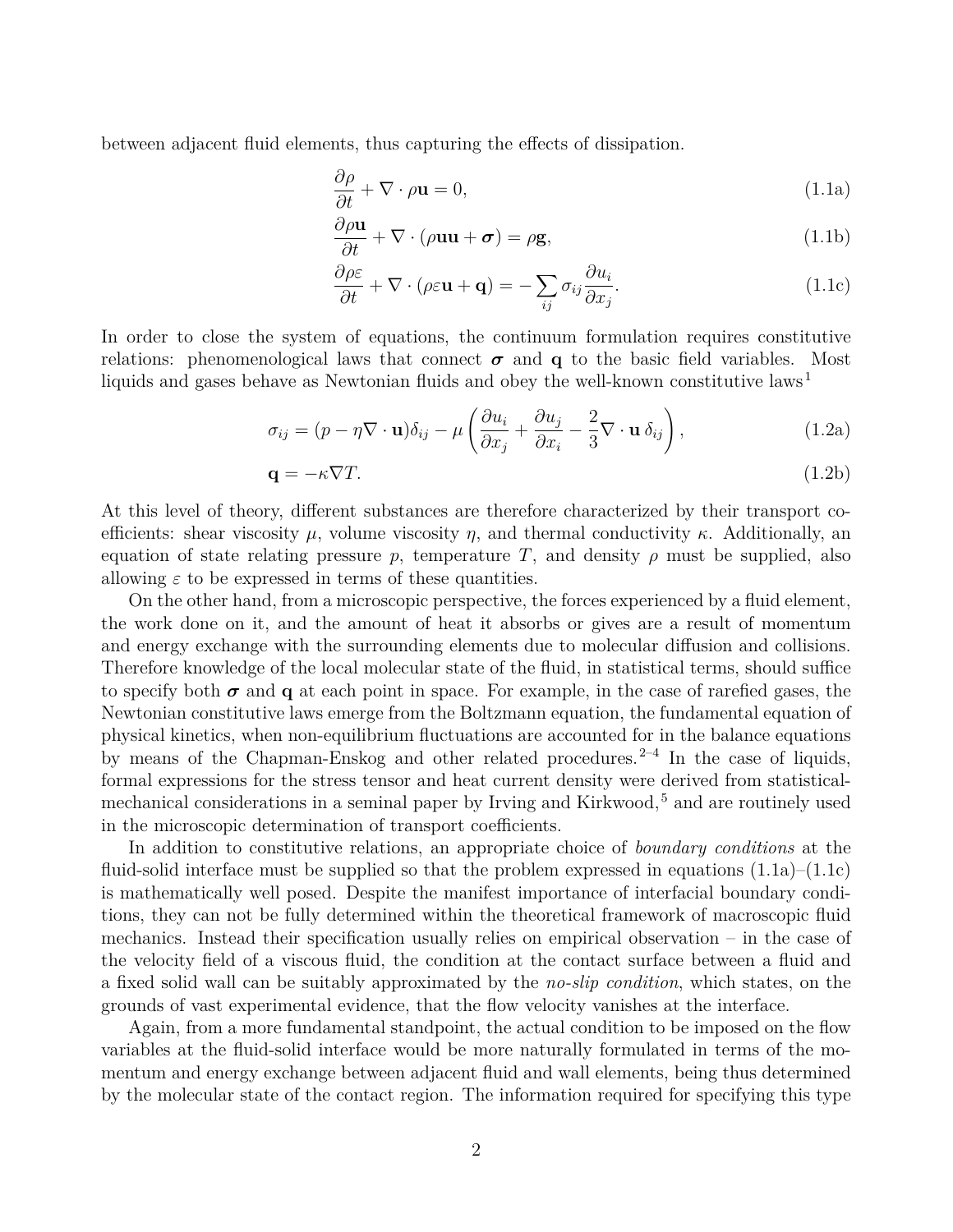between adjacent fluid elements, thus capturing the effects of dissipation.

<span id="page-1-0"></span>
$$
\frac{\partial \rho}{\partial t} + \nabla \cdot \rho \mathbf{u} = 0, \tag{1.1a}
$$

$$
\frac{\partial \rho \mathbf{u}}{\partial t} + \nabla \cdot (\rho \mathbf{u} \mathbf{u} + \boldsymbol{\sigma}) = \rho \mathbf{g},\tag{1.1b}
$$

<span id="page-1-3"></span><span id="page-1-2"></span><span id="page-1-1"></span>
$$
\frac{\partial \rho \varepsilon}{\partial t} + \nabla \cdot (\rho \varepsilon \mathbf{u} + \mathbf{q}) = -\sum_{ij} \sigma_{ij} \frac{\partial u_i}{\partial x_j}.
$$
 (1.1c)

In order to close the system of equations, the continuum formulation requires constitutive relations: phenomenological laws that connect  $\sigma$  and  $q$  to the basic field variables. Most liquids and gases behave as Newtonian fluids and obey the well-known constitutive laws<sup>[1](#page-12-0)</sup>

$$
\sigma_{ij} = (p - \eta \nabla \cdot \mathbf{u}) \delta_{ij} - \mu \left( \frac{\partial u_i}{\partial x_j} + \frac{\partial u_j}{\partial x_i} - \frac{2}{3} \nabla \cdot \mathbf{u} \, \delta_{ij} \right), \tag{1.2a}
$$

$$
\mathbf{q} = -\kappa \nabla T. \tag{1.2b}
$$

At this level of theory, different substances are therefore characterized by their transport coefficients: shear viscosity  $\mu$ , volume viscosity  $\eta$ , and thermal conductivity  $\kappa$ . Additionally, an equation of state relating pressure  $p$ , temperature  $T$ , and density  $\rho$  must be supplied, also allowing  $\varepsilon$  to be expressed in terms of these quantities.

On the other hand, from a microscopic perspective, the forces experienced by a fluid element, the work done on it, and the amount of heat it absorbs or gives are a result of momentum and energy exchange with the surrounding elements due to molecular diffusion and collisions. Therefore knowledge of the local molecular state of the fluid, in statistical terms, should suffice to specify both  $\sigma$  and **q** at each point in space. For example, in the case of rarefied gases, the Newtonian constitutive laws emerge from the Boltzmann equation, the fundamental equation of physical kinetics, when non-equilibrium fluctuations are accounted for in the balance equations by means of the Chapman-Enskog and other related procedures.<sup>[2](#page-12-1)-4</sup> In the case of liquids, formal expressions for the stress tensor and heat current density were derived from statistical-mechanical considerations in a seminal paper by Irving and Kirkwood,<sup>[5](#page-12-3)</sup> and are routinely used in the microscopic determination of transport coefficients.

In addition to constitutive relations, an appropriate choice of *boundary conditions* at the fluid-solid interface must be supplied so that the problem expressed in equations  $(1.1a)$ – $(1.1c)$ is mathematically well posed. Despite the manifest importance of interfacial boundary conditions, they can not be fully determined within the theoretical framework of macroscopic fluid mechanics. Instead their specification usually relies on empirical observation – in the case of the velocity field of a viscous fluid, the condition at the contact surface between a fluid and a fixed solid wall can be suitably approximated by the *no-slip condition*, which states, on the grounds of vast experimental evidence, that the flow velocity vanishes at the interface.

Again, from a more fundamental standpoint, the actual condition to be imposed on the flow variables at the fluid-solid interface would be more naturally formulated in terms of the momentum and energy exchange between adjacent fluid and wall elements, being thus determined by the molecular state of the contact region. The information required for specifying this type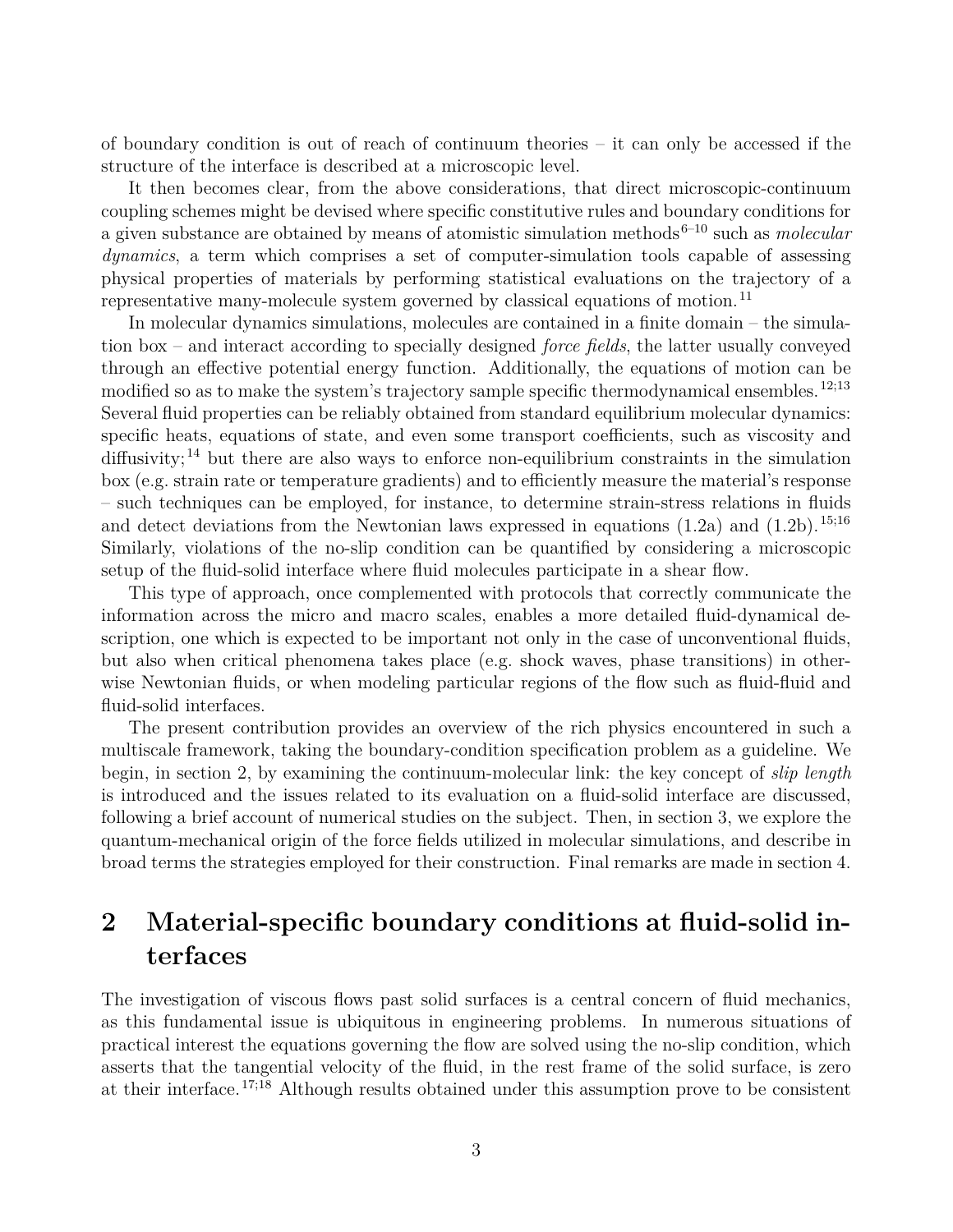of boundary condition is out of reach of continuum theories – it can only be accessed if the structure of the interface is described at a microscopic level.

It then becomes clear, from the above considerations, that direct microscopic-continuum coupling schemes might be devised where specific constitutive rules and boundary conditions for a given substance are obtained by means of atomistic simulation methods [6](#page-12-4)[–10](#page-13-0) such as *molecular dynamics*, a term which comprises a set of computer-simulation tools capable of assessing physical properties of materials by performing statistical evaluations on the trajectory of a representative many-molecule system governed by classical equations of motion.<sup>[11](#page-13-1)</sup>

In molecular dynamics simulations, molecules are contained in a finite domain – the simulation box – and interact according to specially designed *force fields*, the latter usually conveyed through an effective potential energy function. Additionally, the equations of motion can be modified so as to make the system's trajectory sample specific thermodynamical ensembles. <sup>12,[13](#page-13-3)</sup> Several fluid properties can be reliably obtained from standard equilibrium molecular dynamics: specific heats, equations of state, and even some transport coefficients, such as viscosity and diffusivity;<sup>[14](#page-13-4)</sup> but there are also ways to enforce non-equilibrium constraints in the simulation box (e.g. strain rate or temperature gradients) and to efficiently measure the material's response – such techniques can be employed, for instance, to determine strain-stress relations in fluids and detect deviations from the Newtonian laws expressed in equations  $(1.2a)$  and  $(1.2b)$ . <sup>[15;](#page-13-5)[16](#page-13-6)</sup> Similarly, violations of the no-slip condition can be quantified by considering a microscopic setup of the fluid-solid interface where fluid molecules participate in a shear flow.

This type of approach, once complemented with protocols that correctly communicate the information across the micro and macro scales, enables a more detailed fluid-dynamical description, one which is expected to be important not only in the case of unconventional fluids, but also when critical phenomena takes place (e.g. shock waves, phase transitions) in otherwise Newtonian fluids, or when modeling particular regions of the flow such as fluid-fluid and fluid-solid interfaces.

The present contribution provides an overview of the rich physics encountered in such a multiscale framework, taking the boundary-condition specification problem as a guideline. We begin, in section [2,](#page-2-0) by examining the continuum-molecular link: the key concept of *slip length* is introduced and the issues related to its evaluation on a fluid-solid interface are discussed, following a brief account of numerical studies on the subject. Then, in section [3,](#page-8-0) we explore the quantum-mechanical origin of the force fields utilized in molecular simulations, and describe in broad terms the strategies employed for their construction. Final remarks are made in section [4.](#page-11-0)

# <span id="page-2-0"></span>**2 Material-specific boundary conditions at fluid-solid interfaces**

The investigation of viscous flows past solid surfaces is a central concern of fluid mechanics, as this fundamental issue is ubiquitous in engineering problems. In numerous situations of practical interest the equations governing the flow are solved using the no-slip condition, which asserts that the tangential velocity of the fluid, in the rest frame of the solid surface, is zero at their interface. [17;](#page-13-7)[18](#page-13-8) Although results obtained under this assumption prove to be consistent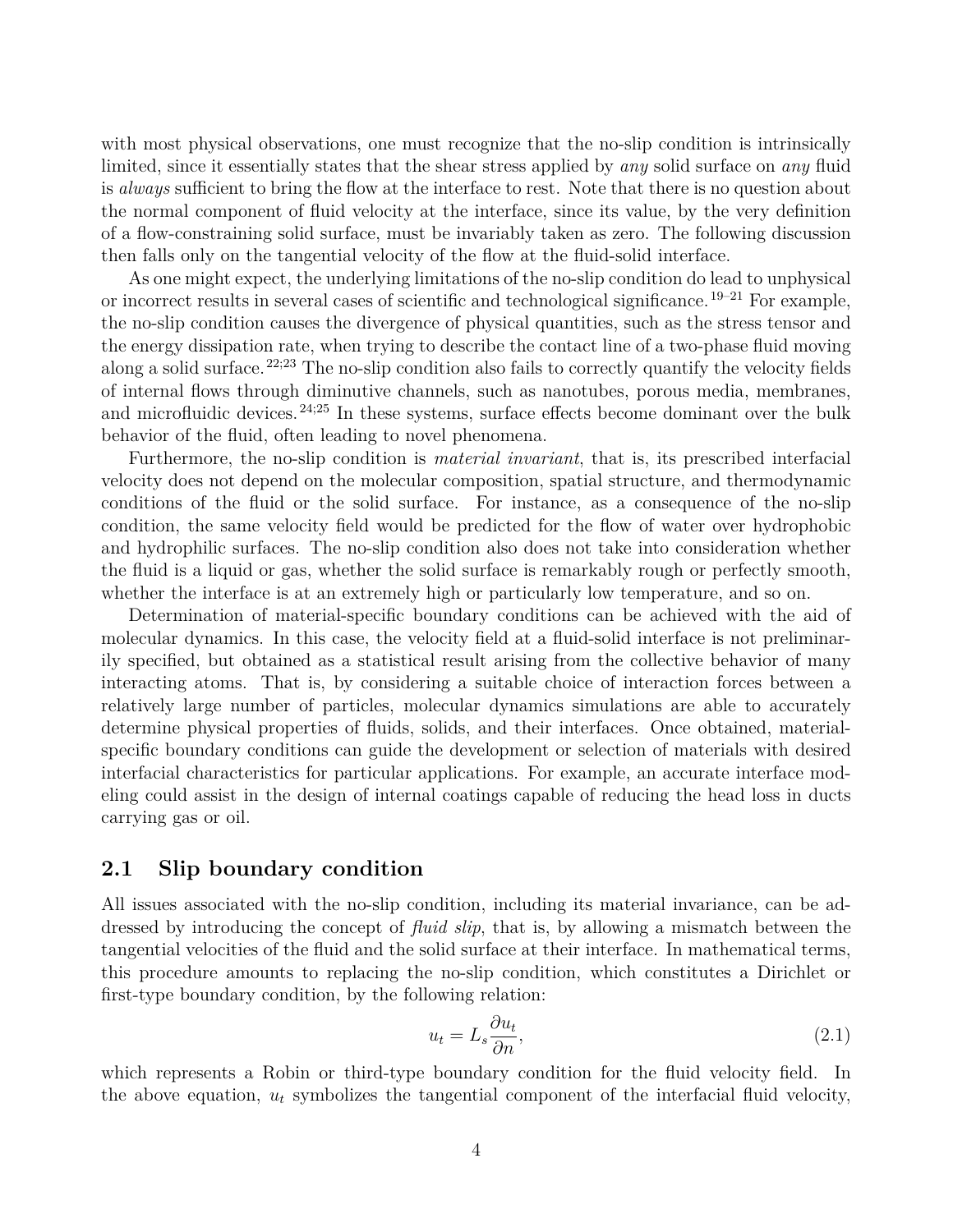with most physical observations, one must recognize that the no-slip condition is intrinsically limited, since it essentially states that the shear stress applied by *any* solid surface on *any* fluid is *always* sufficient to bring the flow at the interface to rest. Note that there is no question about the normal component of fluid velocity at the interface, since its value, by the very definition of a flow-constraining solid surface, must be invariably taken as zero. The following discussion then falls only on the tangential velocity of the flow at the fluid-solid interface.

As one might expect, the underlying limitations of the no-slip condition do lead to unphysical or incorrect results in several cases of scientific and technological significance. <sup>[19](#page-13-9)[–21](#page-13-10)</sup> For example, the no-slip condition causes the divergence of physical quantities, such as the stress tensor and the energy dissipation rate, when trying to describe the contact line of a two-phase fluid moving along a solid surface. <sup>[22;](#page-13-11)[23](#page-13-12)</sup> The no-slip condition also fails to correctly quantify the velocity fields of internal flows through diminutive channels, such as nanotubes, porous media, membranes, and microfluidic devices.<sup>[24](#page-14-0)[;25](#page-14-1)</sup> In these systems, surface effects become dominant over the bulk behavior of the fluid, often leading to novel phenomena.

Furthermore, the no-slip condition is *material invariant*, that is, its prescribed interfacial velocity does not depend on the molecular composition, spatial structure, and thermodynamic conditions of the fluid or the solid surface. For instance, as a consequence of the no-slip condition, the same velocity field would be predicted for the flow of water over hydrophobic and hydrophilic surfaces. The no-slip condition also does not take into consideration whether the fluid is a liquid or gas, whether the solid surface is remarkably rough or perfectly smooth, whether the interface is at an extremely high or particularly low temperature, and so on.

Determination of material-specific boundary conditions can be achieved with the aid of molecular dynamics. In this case, the velocity field at a fluid-solid interface is not preliminarily specified, but obtained as a statistical result arising from the collective behavior of many interacting atoms. That is, by considering a suitable choice of interaction forces between a relatively large number of particles, molecular dynamics simulations are able to accurately determine physical properties of fluids, solids, and their interfaces. Once obtained, materialspecific boundary conditions can guide the development or selection of materials with desired interfacial characteristics for particular applications. For example, an accurate interface modeling could assist in the design of internal coatings capable of reducing the head loss in ducts carrying gas or oil.

#### **2.1 Slip boundary condition**

All issues associated with the no-slip condition, including its material invariance, can be addressed by introducing the concept of *fluid slip*, that is, by allowing a mismatch between the tangential velocities of the fluid and the solid surface at their interface. In mathematical terms, this procedure amounts to replacing the no-slip condition, which constitutes a Dirichlet or first-type boundary condition, by the following relation:

<span id="page-3-0"></span>
$$
u_t = L_s \frac{\partial u_t}{\partial n},\tag{2.1}
$$

which represents a Robin or third-type boundary condition for the fluid velocity field. In the above equation, *u<sup>t</sup>* symbolizes the tangential component of the interfacial fluid velocity,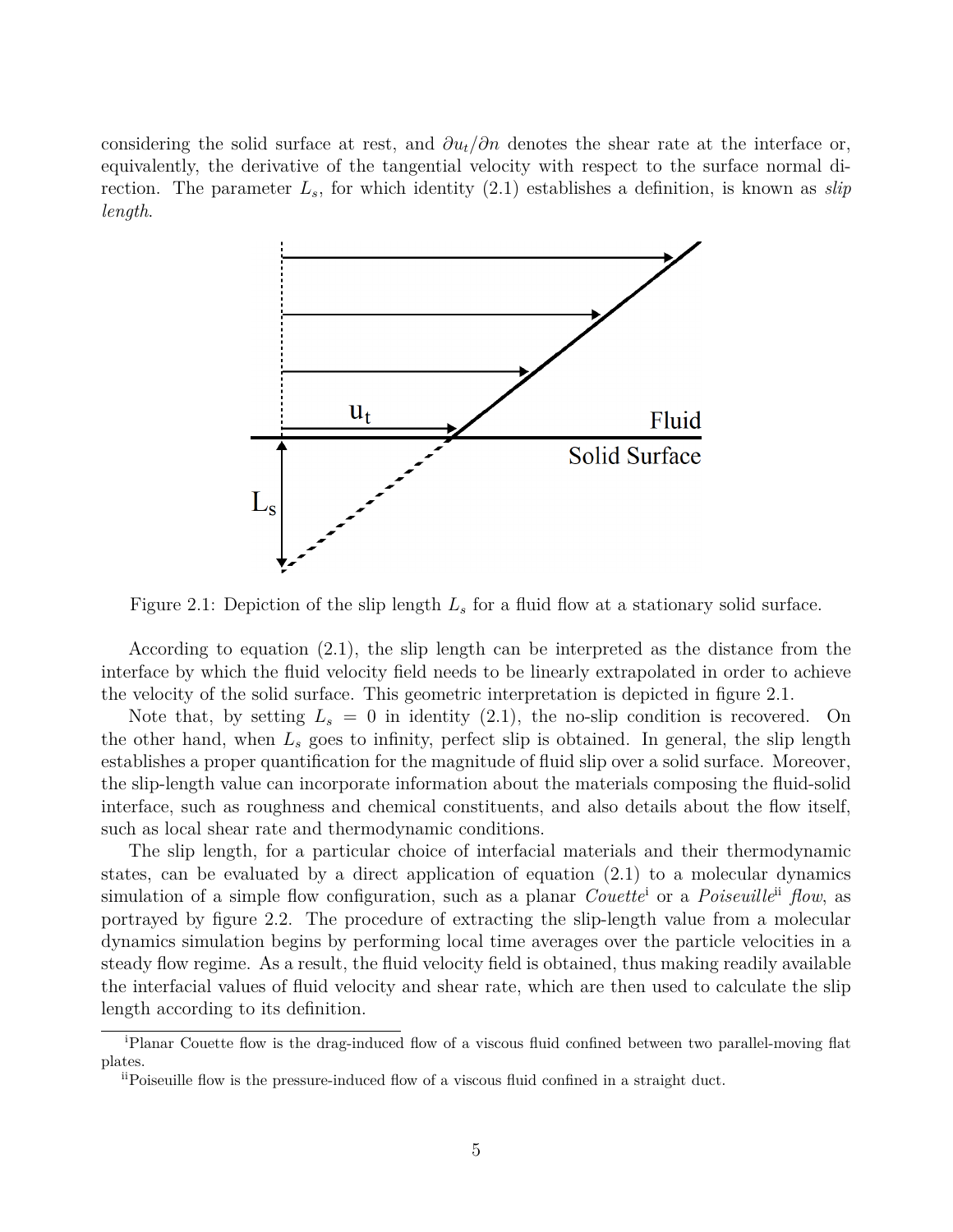considering the solid surface at rest, and *∂ut/∂n* denotes the shear rate at the interface or, equivalently, the derivative of the tangential velocity with respect to the surface normal direction. The parameter *Ls*, for which identity [\(2.1\)](#page-3-0) establishes a definition, is known as *slip length*.



<span id="page-4-0"></span>Figure 2.1: Depiction of the slip length *L<sup>s</sup>* for a fluid flow at a stationary solid surface.

According to equation [\(2.1\)](#page-3-0), the slip length can be interpreted as the distance from the interface by which the fluid velocity field needs to be linearly extrapolated in order to achieve the velocity of the solid surface. This geometric interpretation is depicted in figure [2.1.](#page-4-0)

Note that, by setting  $L_s = 0$  in identity [\(2.1\)](#page-3-0), the no-slip condition is recovered. On the other hand, when *L<sup>s</sup>* goes to infinity, perfect slip is obtained. In general, the slip length establishes a proper quantification for the magnitude of fluid slip over a solid surface. Moreover, the slip-length value can incorporate information about the materials composing the fluid-solid interface, such as roughness and chemical constituents, and also details about the flow itself, such as local shear rate and thermodynamic conditions.

The slip length, for a particular choice of interfacial materials and their thermodynamic states, can be evaluated by a direct application of equation [\(2.1\)](#page-3-0) to a molecular dynamics simulation of a simple flow configuration, such as a planar *Couette*[i](#page-4-1) or a *Poiseuille*[ii](#page-4-2) *flow*, as portrayed by figure [2.2.](#page-5-0) The procedure of extracting the slip-length value from a molecular dynamics simulation begins by performing local time averages over the particle velocities in a steady flow regime. As a result, the fluid velocity field is obtained, thus making readily available the interfacial values of fluid velocity and shear rate, which are then used to calculate the slip length according to its definition.

<span id="page-4-1"></span><sup>i</sup>Planar Couette flow is the drag-induced flow of a viscous fluid confined between two parallel-moving flat plates.

<span id="page-4-2"></span>iiPoiseuille flow is the pressure-induced flow of a viscous fluid confined in a straight duct.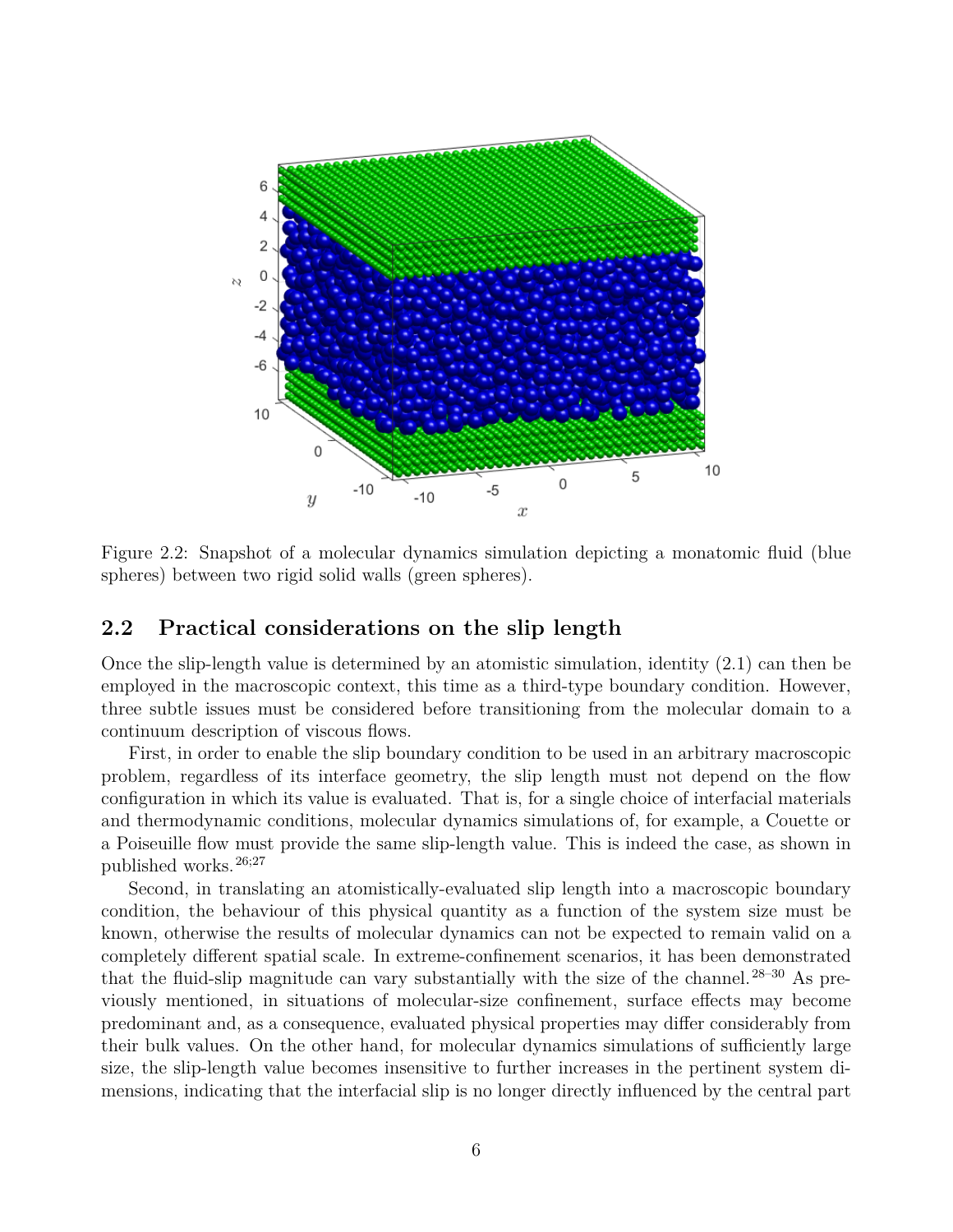

<span id="page-5-0"></span>Figure 2.2: Snapshot of a molecular dynamics simulation depicting a monatomic fluid (blue spheres) between two rigid solid walls (green spheres).

### **2.2 Practical considerations on the slip length**

Once the slip-length value is determined by an atomistic simulation, identity [\(2.1\)](#page-3-0) can then be employed in the macroscopic context, this time as a third-type boundary condition. However, three subtle issues must be considered before transitioning from the molecular domain to a continuum description of viscous flows.

First, in order to enable the slip boundary condition to be used in an arbitrary macroscopic problem, regardless of its interface geometry, the slip length must not depend on the flow configuration in which its value is evaluated. That is, for a single choice of interfacial materials and thermodynamic conditions, molecular dynamics simulations of, for example, a Couette or a Poiseuille flow must provide the same slip-length value. This is indeed the case, as shown in published works.  $26;27$  $26;27$ 

Second, in translating an atomistically-evaluated slip length into a macroscopic boundary condition, the behaviour of this physical quantity as a function of the system size must be known, otherwise the results of molecular dynamics can not be expected to remain valid on a completely different spatial scale. In extreme-confinement scenarios, it has been demonstrated that the fluid-slip magnitude can vary substantially with the size of the channel. <sup>[28–](#page-14-4)[30](#page-14-5)</sup> As previously mentioned, in situations of molecular-size confinement, surface effects may become predominant and, as a consequence, evaluated physical properties may differ considerably from their bulk values. On the other hand, for molecular dynamics simulations of sufficiently large size, the slip-length value becomes insensitive to further increases in the pertinent system dimensions, indicating that the interfacial slip is no longer directly influenced by the central part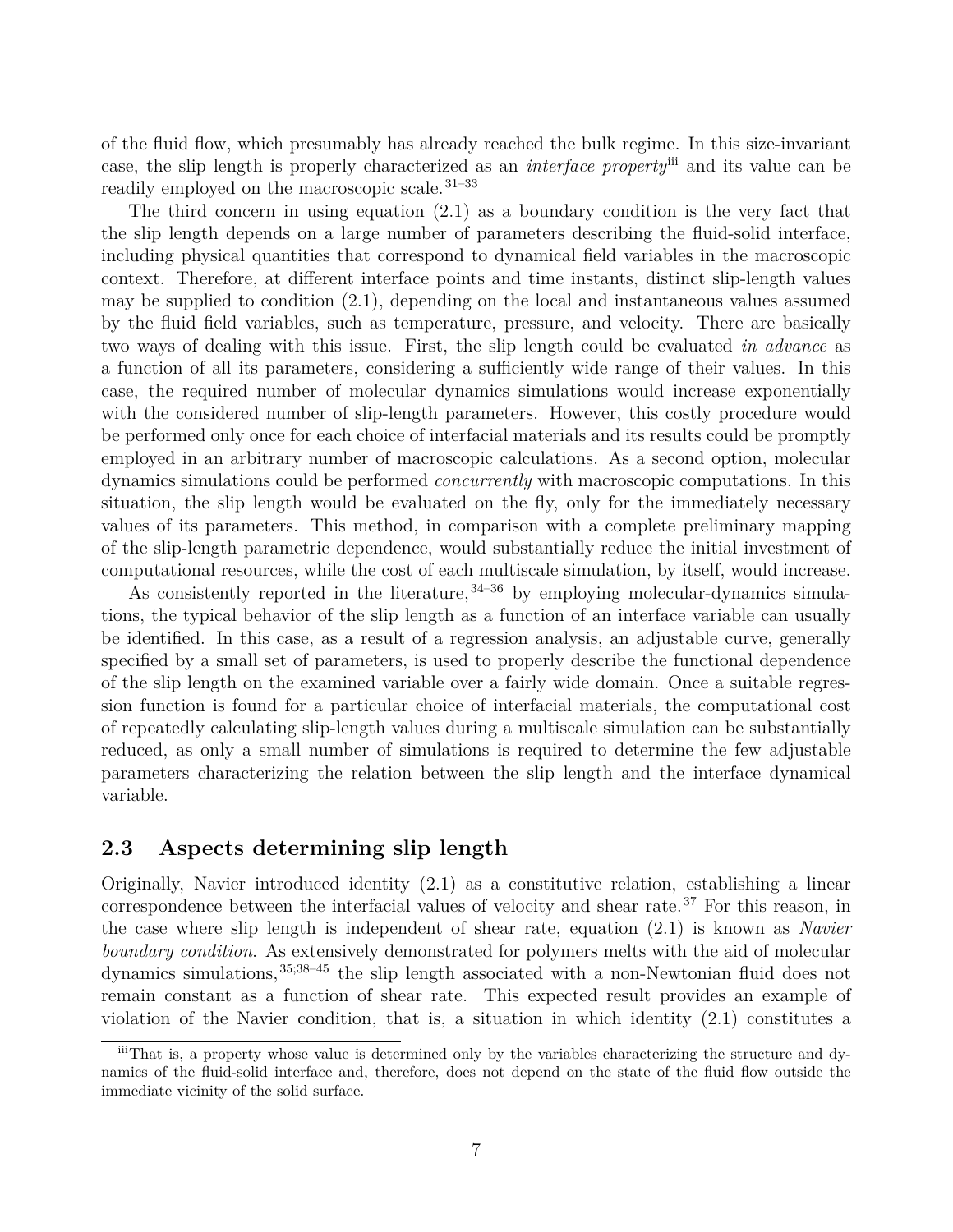of the fluid flow, which presumably has already reached the bulk regime. In this size-invariant case, the slip length is properly characterized as an *interface property*[iii](#page-6-0) and its value can be readily employed on the macroscopic scale.<sup>[31](#page-14-6)-33</sup>

The third concern in using equation [\(2.1\)](#page-3-0) as a boundary condition is the very fact that the slip length depends on a large number of parameters describing the fluid-solid interface, including physical quantities that correspond to dynamical field variables in the macroscopic context. Therefore, at different interface points and time instants, distinct slip-length values may be supplied to condition [\(2.1\)](#page-3-0), depending on the local and instantaneous values assumed by the fluid field variables, such as temperature, pressure, and velocity. There are basically two ways of dealing with this issue. First, the slip length could be evaluated *in advance* as a function of all its parameters, considering a sufficiently wide range of their values. In this case, the required number of molecular dynamics simulations would increase exponentially with the considered number of slip-length parameters. However, this costly procedure would be performed only once for each choice of interfacial materials and its results could be promptly employed in an arbitrary number of macroscopic calculations. As a second option, molecular dynamics simulations could be performed *concurrently* with macroscopic computations. In this situation, the slip length would be evaluated on the fly, only for the immediately necessary values of its parameters. This method, in comparison with a complete preliminary mapping of the slip-length parametric dependence, would substantially reduce the initial investment of computational resources, while the cost of each multiscale simulation, by itself, would increase.

As consistently reported in the literature,  $34-36$  $34-36$  by employing molecular-dynamics simulations, the typical behavior of the slip length as a function of an interface variable can usually be identified. In this case, as a result of a regression analysis, an adjustable curve, generally specified by a small set of parameters, is used to properly describe the functional dependence of the slip length on the examined variable over a fairly wide domain. Once a suitable regression function is found for a particular choice of interfacial materials, the computational cost of repeatedly calculating slip-length values during a multiscale simulation can be substantially reduced, as only a small number of simulations is required to determine the few adjustable parameters characterizing the relation between the slip length and the interface dynamical variable.

#### **2.3 Aspects determining slip length**

Originally, Navier introduced identity [\(2.1\)](#page-3-0) as a constitutive relation, establishing a linear correspondence between the interfacial values of velocity and shear rate.<sup>[37](#page-14-10)</sup> For this reason, in the case where slip length is independent of shear rate, equation [\(2.1\)](#page-3-0) is known as *Navier boundary condition*. As extensively demonstrated for polymers melts with the aid of molecular dynamics simulations,[35;](#page-14-11)[38](#page-15-0)[–45](#page-15-1) the slip length associated with a non-Newtonian fluid does not remain constant as a function of shear rate. This expected result provides an example of violation of the Navier condition, that is, a situation in which identity [\(2.1\)](#page-3-0) constitutes a

<span id="page-6-0"></span>iiiThat is, a property whose value is determined only by the variables characterizing the structure and dynamics of the fluid-solid interface and, therefore, does not depend on the state of the fluid flow outside the immediate vicinity of the solid surface.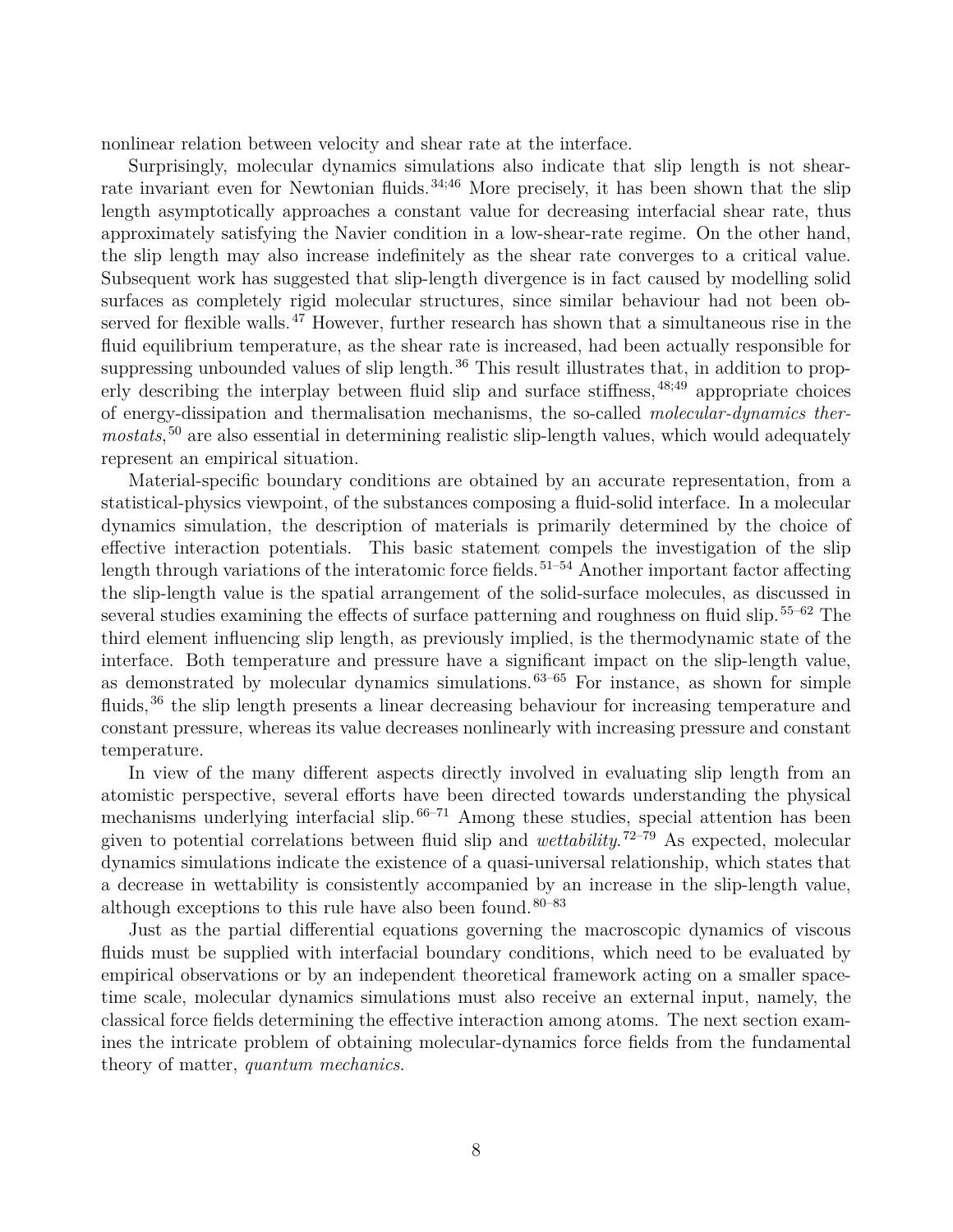nonlinear relation between velocity and shear rate at the interface.

Surprisingly, molecular dynamics simulations also indicate that slip length is not shear-rate invariant even for Newtonian fluids.<sup>[34](#page-14-8)[;46](#page-15-2)</sup> More precisely, it has been shown that the slip length asymptotically approaches a constant value for decreasing interfacial shear rate, thus approximately satisfying the Navier condition in a low-shear-rate regime. On the other hand, the slip length may also increase indefinitely as the shear rate converges to a critical value. Subsequent work has suggested that slip-length divergence is in fact caused by modelling solid surfaces as completely rigid molecular structures, since similar behaviour had not been ob-served for flexible walls.<sup>[47](#page-15-3)</sup> However, further research has shown that a simultaneous rise in the fluid equilibrium temperature, as the shear rate is increased, had been actually responsible for suppressing unbounded values of slip length.<sup>[36](#page-14-9)</sup> This result illustrates that, in addition to properly describing the interplay between fluid slip and surface stiffness, [48](#page-15-4)[;49](#page-15-5) appropriate choices of energy-dissipation and thermalisation mechanisms, the so-called *molecular-dynamics ther-*mostats,<sup>[50](#page-15-6)</sup> are also essential in determining realistic slip-length values, which would adequately represent an empirical situation.

Material-specific boundary conditions are obtained by an accurate representation, from a statistical-physics viewpoint, of the substances composing a fluid-solid interface. In a molecular dynamics simulation, the description of materials is primarily determined by the choice of effective interaction potentials. This basic statement compels the investigation of the slip length through variations of the interatomic force fields. [51](#page-15-7)[–54](#page-16-0) Another important factor affecting the slip-length value is the spatial arrangement of the solid-surface molecules, as discussed in several studies examining the effects of surface patterning and roughness on fluid slip.<sup>[55](#page-16-1)[–62](#page-16-2)</sup> The third element influencing slip length, as previously implied, is the thermodynamic state of the interface. Both temperature and pressure have a significant impact on the slip-length value, as demonstrated by molecular dynamics simulations.  $63-65$  $63-65$  For instance, as shown for simple fluids,<sup>[36](#page-14-9)</sup> the slip length presents a linear decreasing behaviour for increasing temperature and constant pressure, whereas its value decreases nonlinearly with increasing pressure and constant temperature.

In view of the many different aspects directly involved in evaluating slip length from an atomistic perspective, several efforts have been directed towards understanding the physical mechanisms underlying interfacial slip.  $66-71$  $66-71$  Among these studies, special attention has been given to potential correlations between fluid slip and *wettability*. [72–](#page-17-2)[79](#page-17-3) As expected, molecular dynamics simulations indicate the existence of a quasi-universal relationship, which states that a decrease in wettability is consistently accompanied by an increase in the slip-length value, although exceptions to this rule have also been found.  $80-83$  $80-83$ 

Just as the partial differential equations governing the macroscopic dynamics of viscous fluids must be supplied with interfacial boundary conditions, which need to be evaluated by empirical observations or by an independent theoretical framework acting on a smaller spacetime scale, molecular dynamics simulations must also receive an external input, namely, the classical force fields determining the effective interaction among atoms. The next section examines the intricate problem of obtaining molecular-dynamics force fields from the fundamental theory of matter, *quantum mechanics*.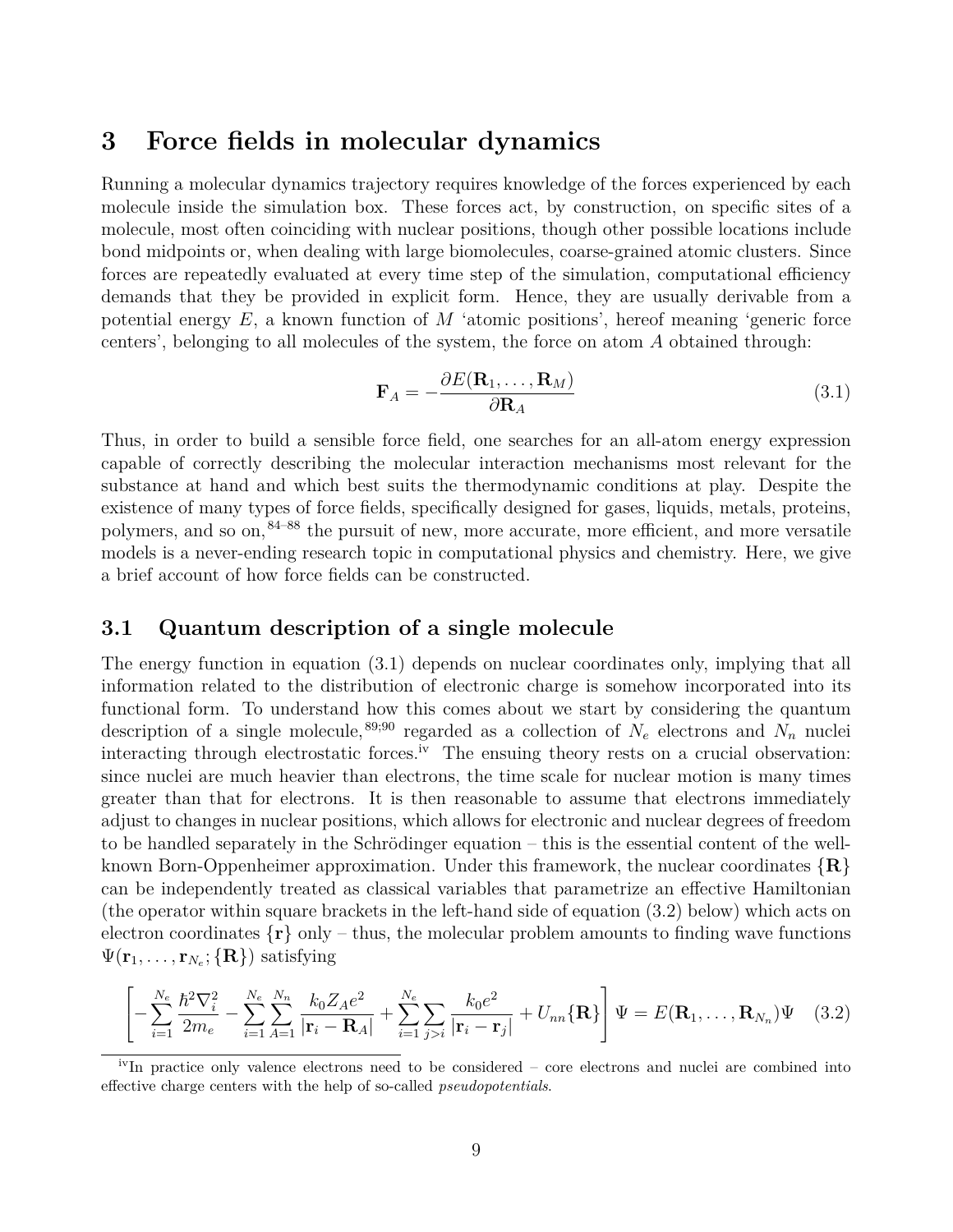## <span id="page-8-0"></span>**3 Force fields in molecular dynamics**

Running a molecular dynamics trajectory requires knowledge of the forces experienced by each molecule inside the simulation box. These forces act, by construction, on specific sites of a molecule, most often coinciding with nuclear positions, though other possible locations include bond midpoints or, when dealing with large biomolecules, coarse-grained atomic clusters. Since forces are repeatedly evaluated at every time step of the simulation, computational efficiency demands that they be provided in explicit form. Hence, they are usually derivable from a potential energy *E*, a known function of *M* 'atomic positions', hereof meaning 'generic force centers', belonging to all molecules of the system, the force on atom *A* obtained through:

<span id="page-8-1"></span>
$$
\mathbf{F}_A = -\frac{\partial E(\mathbf{R}_1, \dots, \mathbf{R}_M)}{\partial \mathbf{R}_A} \tag{3.1}
$$

Thus, in order to build a sensible force field, one searches for an all-atom energy expression capable of correctly describing the molecular interaction mechanisms most relevant for the substance at hand and which best suits the thermodynamic conditions at play. Despite the existence of many types of force fields, specifically designed for gases, liquids, metals, proteins, polymers, and so on,  $84-88$  $84-88$  the pursuit of new, more accurate, more efficient, and more versatile models is a never-ending research topic in computational physics and chemistry. Here, we give a brief account of how force fields can be constructed.

#### **3.1 Quantum description of a single molecule**

The energy function in equation [\(3.1\)](#page-8-1) depends on nuclear coordinates only, implying that all information related to the distribution of electronic charge is somehow incorporated into its functional form. To understand how this comes about we start by considering the quantum description of a single molecule,  $89,90$  $89,90$  regarded as a collection of  $N_e$  electrons and  $N_n$  nuclei interacting through electrostatic forces.<sup>[iv](#page-8-2)</sup> The ensuing theory rests on a crucial observation: since nuclei are much heavier than electrons, the time scale for nuclear motion is many times greater than that for electrons. It is then reasonable to assume that electrons immediately adjust to changes in nuclear positions, which allows for electronic and nuclear degrees of freedom to be handled separately in the Schrödinger equation – this is the essential content of the wellknown Born-Oppenheimer approximation. Under this framework, the nuclear coordinates {**R**} can be independently treated as classical variables that parametrize an effective Hamiltonian (the operator within square brackets in the left-hand side of equation [\(3.2\)](#page-8-3) below) which acts on electron coordinates  $\{r\}$  only – thus, the molecular problem amounts to finding wave functions  $\Psi(\mathbf{r}_1, \ldots, \mathbf{r}_{N_e}; \{ \mathbf{R} \})$  satisfying

<span id="page-8-3"></span>
$$
\left[ -\sum_{i=1}^{N_e} \frac{\hbar^2 \nabla_i^2}{2m_e} - \sum_{i=1}^{N_e} \sum_{A=1}^{N_n} \frac{k_0 Z_A e^2}{|\mathbf{r}_i - \mathbf{R}_A|} + \sum_{i=1}^{N_e} \sum_{j>i} \frac{k_0 e^2}{|\mathbf{r}_i - \mathbf{r}_j|} + U_{nn} \{ \mathbf{R} \} \right] \Psi = E(\mathbf{R}_1, \dots, \mathbf{R}_{N_n}) \Psi \quad (3.2)
$$

<span id="page-8-2"></span>ivIn practice only valence electrons need to be considered – core electrons and nuclei are combined into effective charge centers with the help of so-called *pseudopotentials*.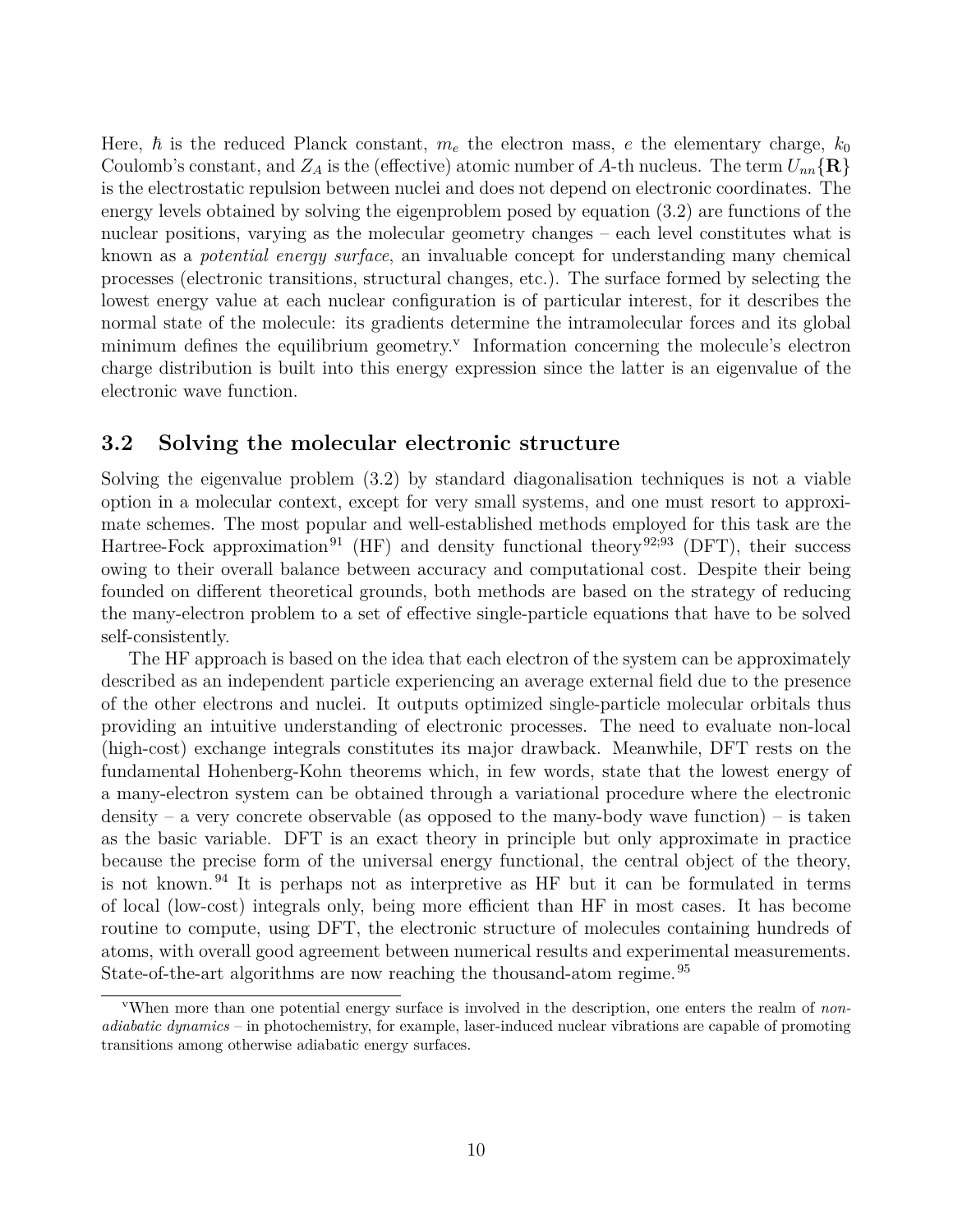Here,  $\hbar$  is the reduced Planck constant,  $m_e$  the electron mass,  $e$  the elementary charge,  $k_0$ Coulomb's constant, and  $Z_A$  is the (effective) atomic number of A-th nucleus. The term  $U_{nn} {\bf R}$ is the electrostatic repulsion between nuclei and does not depend on electronic coordinates. The energy levels obtained by solving the eigenproblem posed by equation [\(3.2\)](#page-8-3) are functions of the nuclear positions, varying as the molecular geometry changes – each level constitutes what is known as a *potential energy surface*, an invaluable concept for understanding many chemical processes (electronic transitions, structural changes, etc.). The surface formed by selecting the lowest energy value at each nuclear configuration is of particular interest, for it describes the normal state of the molecule: its gradients determine the intramolecular forces and its global minimum defines the equilibrium geometry.<sup>[v](#page-9-0)</sup> Information concerning the molecule's electron charge distribution is built into this energy expression since the latter is an eigenvalue of the electronic wave function.

### **3.2 Solving the molecular electronic structure**

Solving the eigenvalue problem [\(3.2\)](#page-8-3) by standard diagonalisation techniques is not a viable option in a molecular context, except for very small systems, and one must resort to approximate schemes. The most popular and well-established methods employed for this task are the Hartree-Fock approximation<sup>[91](#page-18-6)</sup> (HF) and density functional theory  $92,93$  $92,93$  (DFT), their success owing to their overall balance between accuracy and computational cost. Despite their being founded on different theoretical grounds, both methods are based on the strategy of reducing the many-electron problem to a set of effective single-particle equations that have to be solved self-consistently.

The HF approach is based on the idea that each electron of the system can be approximately described as an independent particle experiencing an average external field due to the presence of the other electrons and nuclei. It outputs optimized single-particle molecular orbitals thus providing an intuitive understanding of electronic processes. The need to evaluate non-local (high-cost) exchange integrals constitutes its major drawback. Meanwhile, DFT rests on the fundamental Hohenberg-Kohn theorems which, in few words, state that the lowest energy of a many-electron system can be obtained through a variational procedure where the electronic density – a very concrete observable (as opposed to the many-body wave function) – is taken as the basic variable. DFT is an exact theory in principle but only approximate in practice because the precise form of the universal energy functional, the central object of the theory, is not known.[94](#page-19-1) It is perhaps not as interpretive as HF but it can be formulated in terms of local (low-cost) integrals only, being more efficient than HF in most cases. It has become routine to compute, using DFT, the electronic structure of molecules containing hundreds of atoms, with overall good agreement between numerical results and experimental measurements. State-of-the-art algorithms are now reaching the thousand-atom regime.<sup>[95](#page-19-2)</sup>

<span id="page-9-0"></span><sup>v</sup>When more than one potential energy surface is involved in the description, one enters the realm of *nonadiabatic dynamics* – in photochemistry, for example, laser-induced nuclear vibrations are capable of promoting transitions among otherwise adiabatic energy surfaces.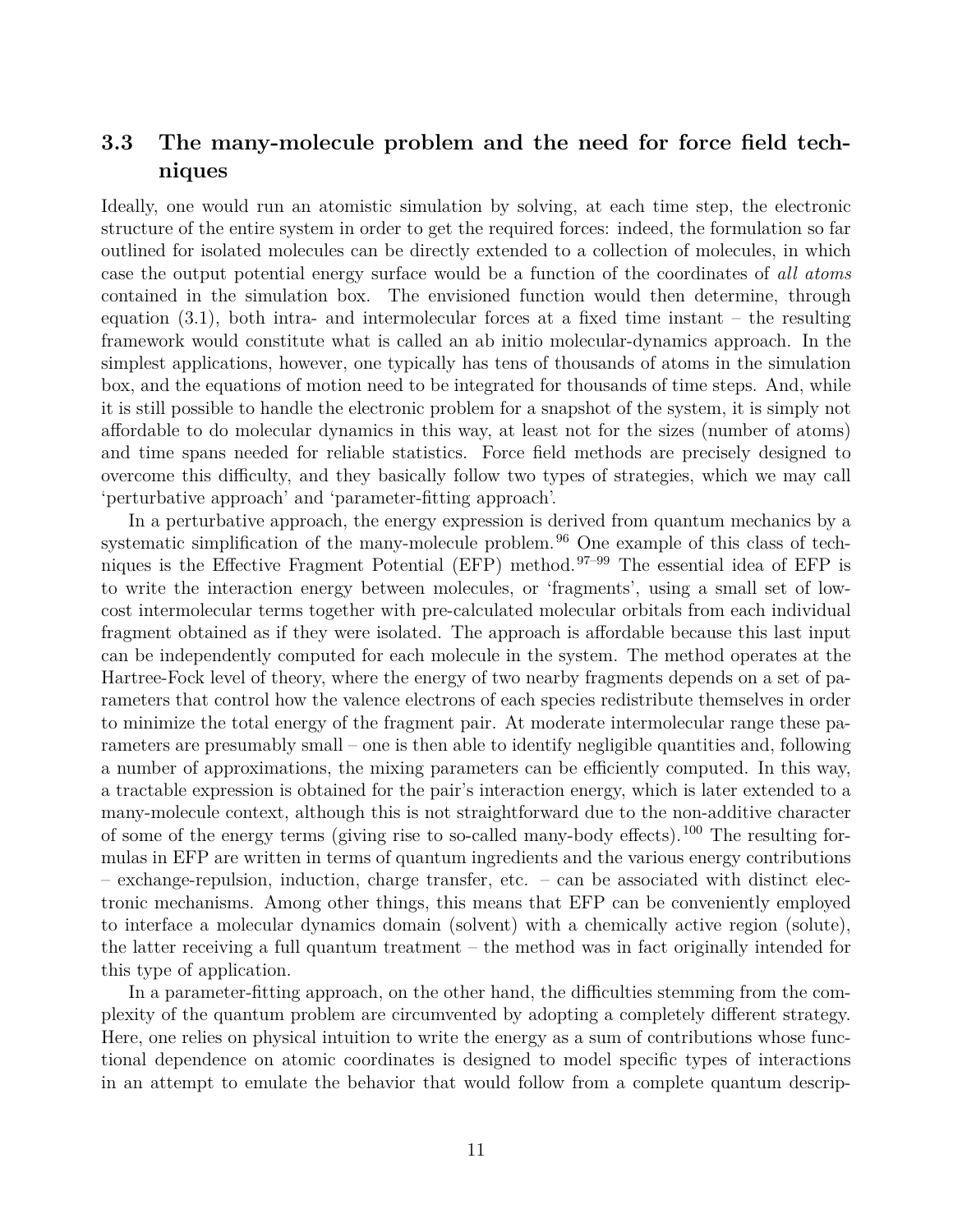### **3.3 The many-molecule problem and the need for force field techniques**

Ideally, one would run an atomistic simulation by solving, at each time step, the electronic structure of the entire system in order to get the required forces: indeed, the formulation so far outlined for isolated molecules can be directly extended to a collection of molecules, in which case the output potential energy surface would be a function of the coordinates of *all atoms* contained in the simulation box. The envisioned function would then determine, through equation [\(3.1\)](#page-8-1), both intra- and intermolecular forces at a fixed time instant – the resulting framework would constitute what is called an ab initio molecular-dynamics approach. In the simplest applications, however, one typically has tens of thousands of atoms in the simulation box, and the equations of motion need to be integrated for thousands of time steps. And, while it is still possible to handle the electronic problem for a snapshot of the system, it is simply not affordable to do molecular dynamics in this way, at least not for the sizes (number of atoms) and time spans needed for reliable statistics. Force field methods are precisely designed to overcome this difficulty, and they basically follow two types of strategies, which we may call 'perturbative approach' and 'parameter-fitting approach'.

In a perturbative approach, the energy expression is derived from quantum mechanics by a systematic simplification of the many-molecule problem.<sup>[96](#page-19-3)</sup> One example of this class of techniques is the Effective Fragment Potential (EFP) method. [97–](#page-19-4)[99](#page-19-5) The essential idea of EFP is to write the interaction energy between molecules, or 'fragments', using a small set of lowcost intermolecular terms together with pre-calculated molecular orbitals from each individual fragment obtained as if they were isolated. The approach is affordable because this last input can be independently computed for each molecule in the system. The method operates at the Hartree-Fock level of theory, where the energy of two nearby fragments depends on a set of parameters that control how the valence electrons of each species redistribute themselves in order to minimize the total energy of the fragment pair. At moderate intermolecular range these parameters are presumably small – one is then able to identify negligible quantities and, following a number of approximations, the mixing parameters can be efficiently computed. In this way, a tractable expression is obtained for the pair's interaction energy, which is later extended to a many-molecule context, although this is not straightforward due to the non-additive character of some of the energy terms (giving rise to so-called many-body effects). [100](#page-19-6) The resulting formulas in EFP are written in terms of quantum ingredients and the various energy contributions – exchange-repulsion, induction, charge transfer, etc. – can be associated with distinct electronic mechanisms. Among other things, this means that EFP can be conveniently employed to interface a molecular dynamics domain (solvent) with a chemically active region (solute), the latter receiving a full quantum treatment – the method was in fact originally intended for this type of application.

In a parameter-fitting approach, on the other hand, the difficulties stemming from the complexity of the quantum problem are circumvented by adopting a completely different strategy. Here, one relies on physical intuition to write the energy as a sum of contributions whose functional dependence on atomic coordinates is designed to model specific types of interactions in an attempt to emulate the behavior that would follow from a complete quantum descrip-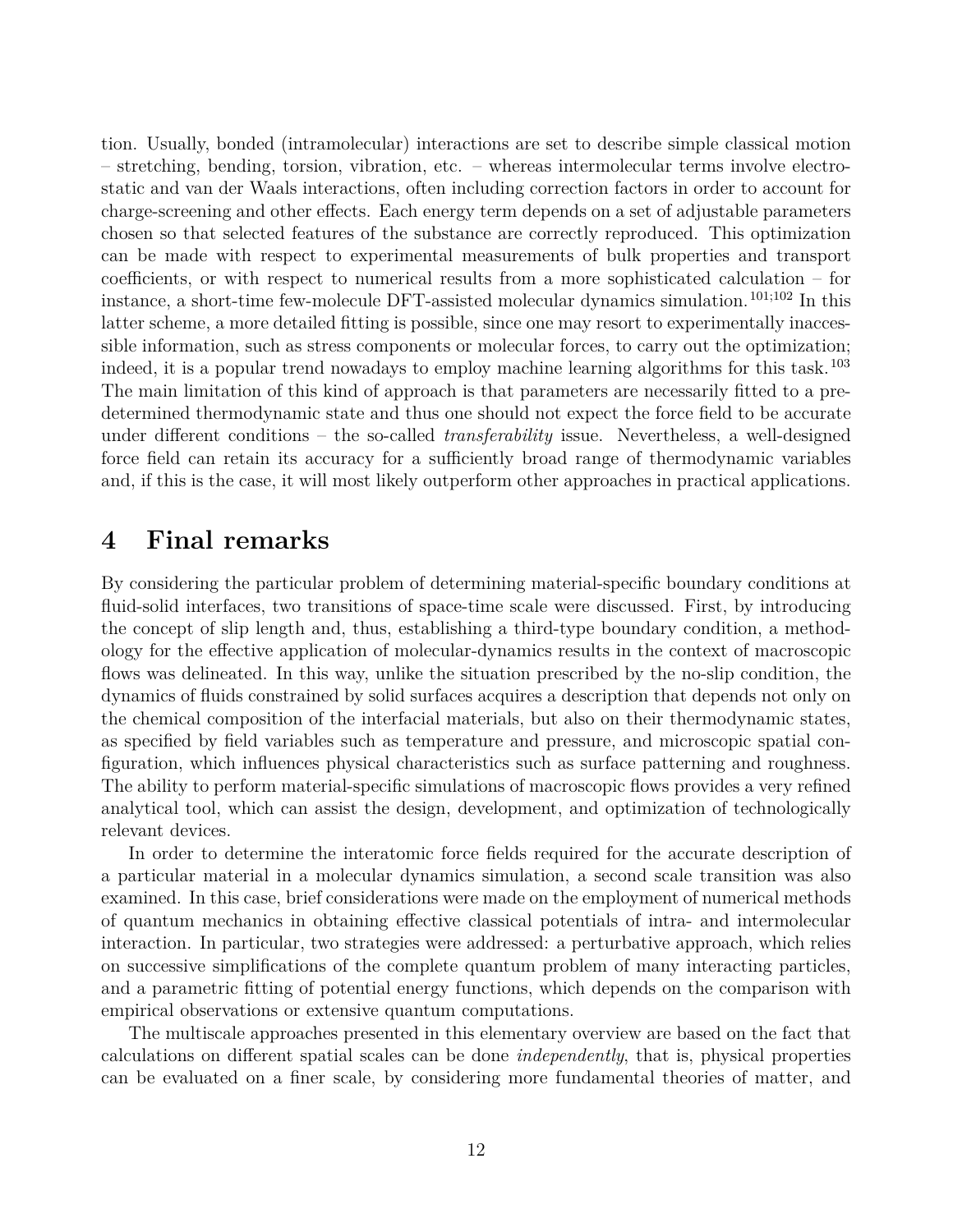tion. Usually, bonded (intramolecular) interactions are set to describe simple classical motion – stretching, bending, torsion, vibration, etc. – whereas intermolecular terms involve electrostatic and van der Waals interactions, often including correction factors in order to account for charge-screening and other effects. Each energy term depends on a set of adjustable parameters chosen so that selected features of the substance are correctly reproduced. This optimization can be made with respect to experimental measurements of bulk properties and transport coefficients, or with respect to numerical results from a more sophisticated calculation – for instance, a short-time few-molecule DFT-assisted molecular dynamics simulation. [101;](#page-19-7)[102](#page-19-8) In this latter scheme, a more detailed fitting is possible, since one may resort to experimentally inaccessible information, such as stress components or molecular forces, to carry out the optimization; indeed, it is a popular trend nowadays to employ machine learning algorithms for this task.<sup>[103](#page-19-9)</sup> The main limitation of this kind of approach is that parameters are necessarily fitted to a predetermined thermodynamic state and thus one should not expect the force field to be accurate under different conditions – the so-called *transferability* issue. Nevertheless, a well-designed force field can retain its accuracy for a sufficiently broad range of thermodynamic variables and, if this is the case, it will most likely outperform other approaches in practical applications.

## <span id="page-11-0"></span>**4 Final remarks**

By considering the particular problem of determining material-specific boundary conditions at fluid-solid interfaces, two transitions of space-time scale were discussed. First, by introducing the concept of slip length and, thus, establishing a third-type boundary condition, a methodology for the effective application of molecular-dynamics results in the context of macroscopic flows was delineated. In this way, unlike the situation prescribed by the no-slip condition, the dynamics of fluids constrained by solid surfaces acquires a description that depends not only on the chemical composition of the interfacial materials, but also on their thermodynamic states, as specified by field variables such as temperature and pressure, and microscopic spatial configuration, which influences physical characteristics such as surface patterning and roughness. The ability to perform material-specific simulations of macroscopic flows provides a very refined analytical tool, which can assist the design, development, and optimization of technologically relevant devices.

In order to determine the interatomic force fields required for the accurate description of a particular material in a molecular dynamics simulation, a second scale transition was also examined. In this case, brief considerations were made on the employment of numerical methods of quantum mechanics in obtaining effective classical potentials of intra- and intermolecular interaction. In particular, two strategies were addressed: a perturbative approach, which relies on successive simplifications of the complete quantum problem of many interacting particles, and a parametric fitting of potential energy functions, which depends on the comparison with empirical observations or extensive quantum computations.

The multiscale approaches presented in this elementary overview are based on the fact that calculations on different spatial scales can be done *independently*, that is, physical properties can be evaluated on a finer scale, by considering more fundamental theories of matter, and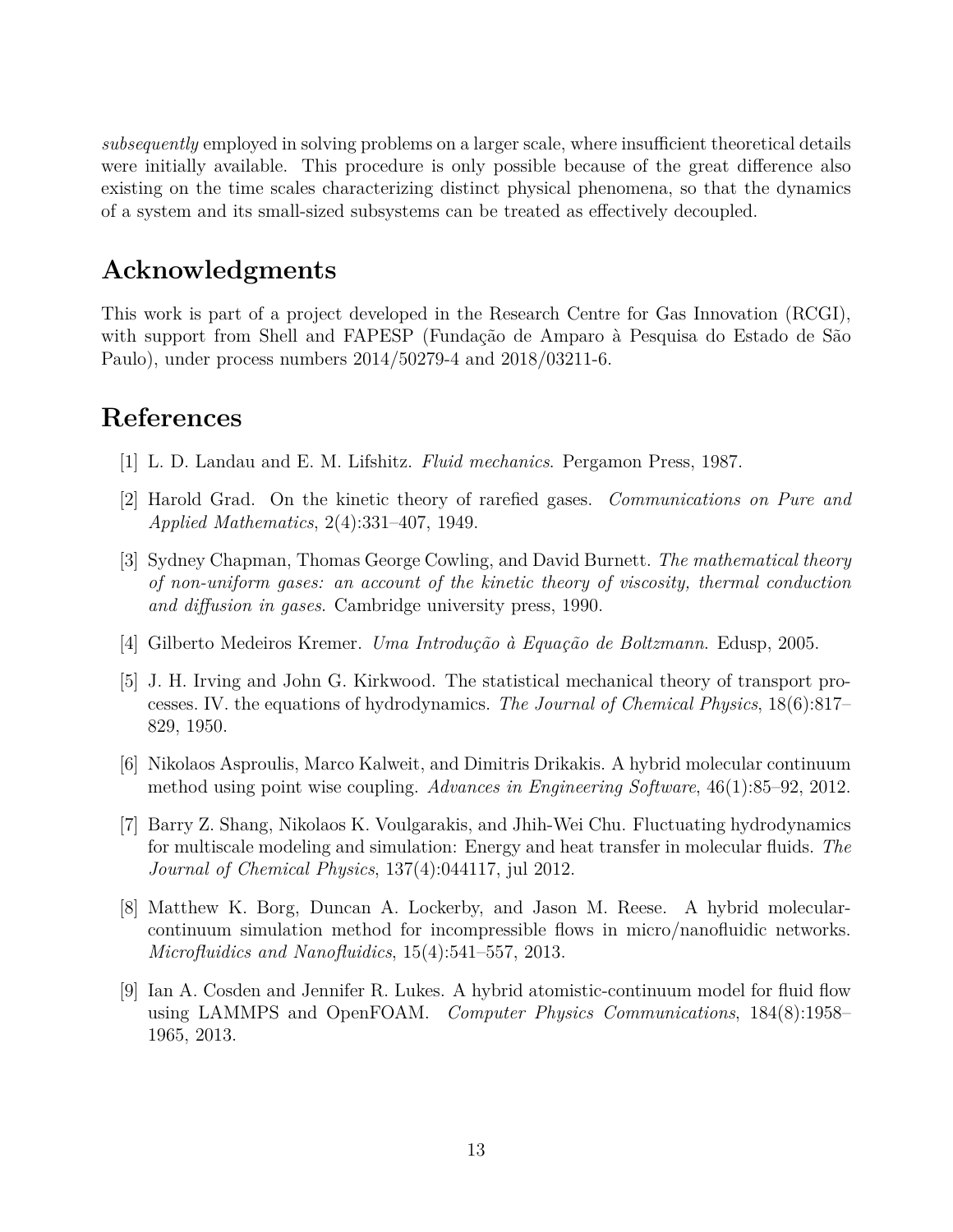*subsequently* employed in solving problems on a larger scale, where insufficient theoretical details were initially available. This procedure is only possible because of the great difference also existing on the time scales characterizing distinct physical phenomena, so that the dynamics of a system and its small-sized subsystems can be treated as effectively decoupled.

# **Acknowledgments**

This work is part of a project developed in the Research Centre for Gas Innovation (RCGI), with support from Shell and FAPESP (Fundação de Amparo à Pesquisa do Estado de São Paulo), under process numbers 2014/50279-4 and 2018/03211-6.

# **References**

- <span id="page-12-0"></span>[1] L. D. Landau and E. M. Lifshitz. *Fluid mechanics*. Pergamon Press, 1987.
- <span id="page-12-1"></span>[2] Harold Grad. On the kinetic theory of rarefied gases. *Communications on Pure and Applied Mathematics*, 2(4):331–407, 1949.
- [3] Sydney Chapman, Thomas George Cowling, and David Burnett. *The mathematical theory of non-uniform gases: an account of the kinetic theory of viscosity, thermal conduction and diffusion in gases*. Cambridge university press, 1990.
- <span id="page-12-2"></span>[4] Gilberto Medeiros Kremer. *Uma Introdução à Equação de Boltzmann*. Edusp, 2005.
- <span id="page-12-3"></span>[5] J. H. Irving and John G. Kirkwood. The statistical mechanical theory of transport processes. IV. the equations of hydrodynamics. *The Journal of Chemical Physics*, 18(6):817– 829, 1950.
- <span id="page-12-4"></span>[6] Nikolaos Asproulis, Marco Kalweit, and Dimitris Drikakis. A hybrid molecular continuum method using point wise coupling. *Advances in Engineering Software*, 46(1):85–92, 2012.
- [7] Barry Z. Shang, Nikolaos K. Voulgarakis, and Jhih-Wei Chu. Fluctuating hydrodynamics for multiscale modeling and simulation: Energy and heat transfer in molecular fluids. *The Journal of Chemical Physics*, 137(4):044117, jul 2012.
- [8] Matthew K. Borg, Duncan A. Lockerby, and Jason M. Reese. A hybrid molecularcontinuum simulation method for incompressible flows in micro/nanofluidic networks. *Microfluidics and Nanofluidics*, 15(4):541–557, 2013.
- [9] Ian A. Cosden and Jennifer R. Lukes. A hybrid atomistic-continuum model for fluid flow using LAMMPS and OpenFOAM. *Computer Physics Communications*, 184(8):1958– 1965, 2013.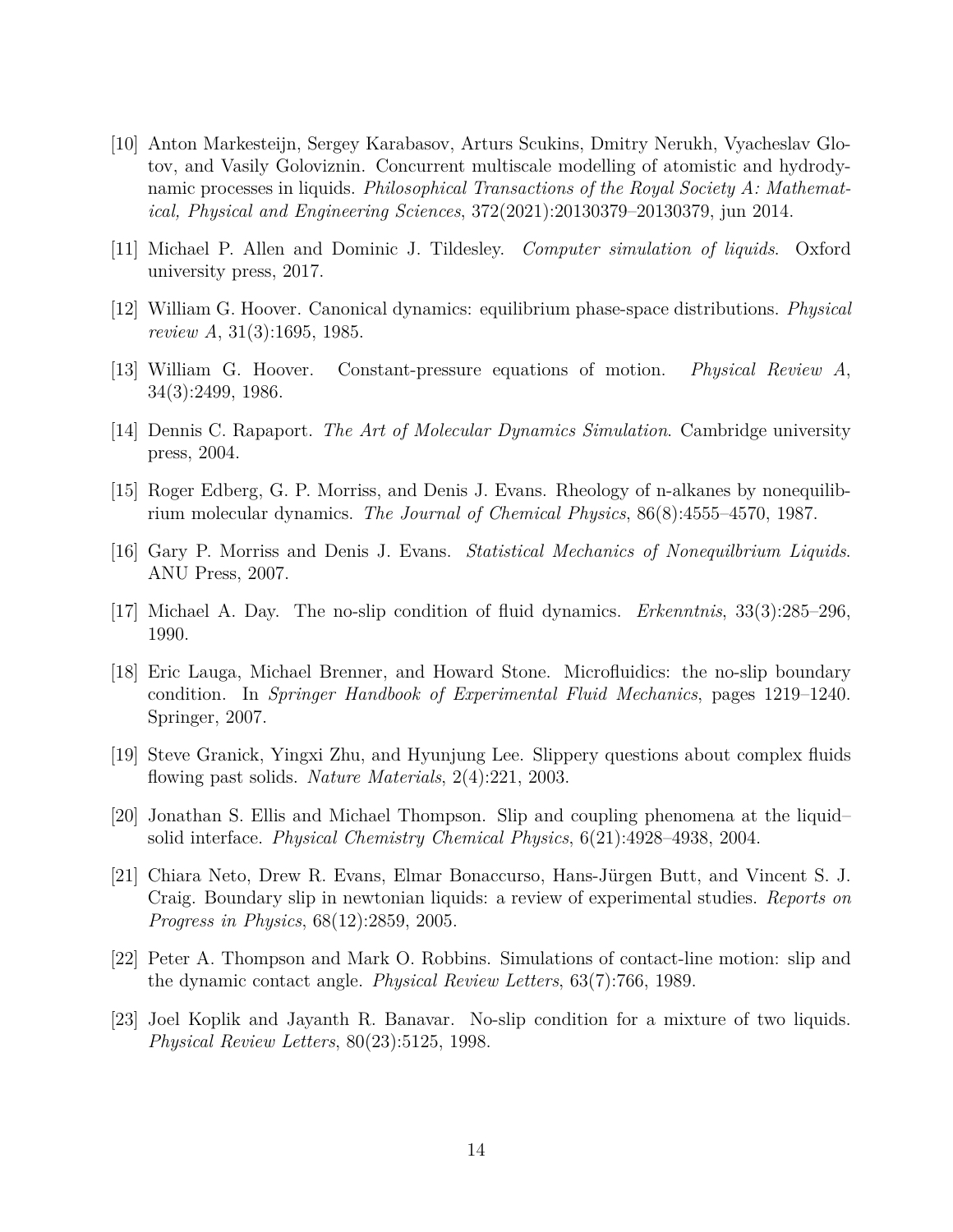- <span id="page-13-0"></span>[10] Anton Markesteijn, Sergey Karabasov, Arturs Scukins, Dmitry Nerukh, Vyacheslav Glotov, and Vasily Goloviznin. Concurrent multiscale modelling of atomistic and hydrodynamic processes in liquids. *Philosophical Transactions of the Royal Society A: Mathematical, Physical and Engineering Sciences*, 372(2021):20130379–20130379, jun 2014.
- <span id="page-13-1"></span>[11] Michael P. Allen and Dominic J. Tildesley. *Computer simulation of liquids*. Oxford university press, 2017.
- <span id="page-13-2"></span>[12] William G. Hoover. Canonical dynamics: equilibrium phase-space distributions. *Physical review A*, 31(3):1695, 1985.
- <span id="page-13-3"></span>[13] William G. Hoover. Constant-pressure equations of motion. *Physical Review A*, 34(3):2499, 1986.
- <span id="page-13-4"></span>[14] Dennis C. Rapaport. *The Art of Molecular Dynamics Simulation*. Cambridge university press, 2004.
- <span id="page-13-5"></span>[15] Roger Edberg, G. P. Morriss, and Denis J. Evans. Rheology of n-alkanes by nonequilibrium molecular dynamics. *The Journal of Chemical Physics*, 86(8):4555–4570, 1987.
- <span id="page-13-6"></span>[16] Gary P. Morriss and Denis J. Evans. *Statistical Mechanics of Nonequilbrium Liquids*. ANU Press, 2007.
- <span id="page-13-7"></span>[17] Michael A. Day. The no-slip condition of fluid dynamics. *Erkenntnis*, 33(3):285–296, 1990.
- <span id="page-13-8"></span>[18] Eric Lauga, Michael Brenner, and Howard Stone. Microfluidics: the no-slip boundary condition. In *Springer Handbook of Experimental Fluid Mechanics*, pages 1219–1240. Springer, 2007.
- <span id="page-13-9"></span>[19] Steve Granick, Yingxi Zhu, and Hyunjung Lee. Slippery questions about complex fluids flowing past solids. *Nature Materials*, 2(4):221, 2003.
- [20] Jonathan S. Ellis and Michael Thompson. Slip and coupling phenomena at the liquid– solid interface. *Physical Chemistry Chemical Physics*, 6(21):4928–4938, 2004.
- <span id="page-13-10"></span>[21] Chiara Neto, Drew R. Evans, Elmar Bonaccurso, Hans-Jürgen Butt, and Vincent S. J. Craig. Boundary slip in newtonian liquids: a review of experimental studies. *Reports on Progress in Physics*, 68(12):2859, 2005.
- <span id="page-13-11"></span>[22] Peter A. Thompson and Mark O. Robbins. Simulations of contact-line motion: slip and the dynamic contact angle. *Physical Review Letters*, 63(7):766, 1989.
- <span id="page-13-12"></span>[23] Joel Koplik and Jayanth R. Banavar. No-slip condition for a mixture of two liquids. *Physical Review Letters*, 80(23):5125, 1998.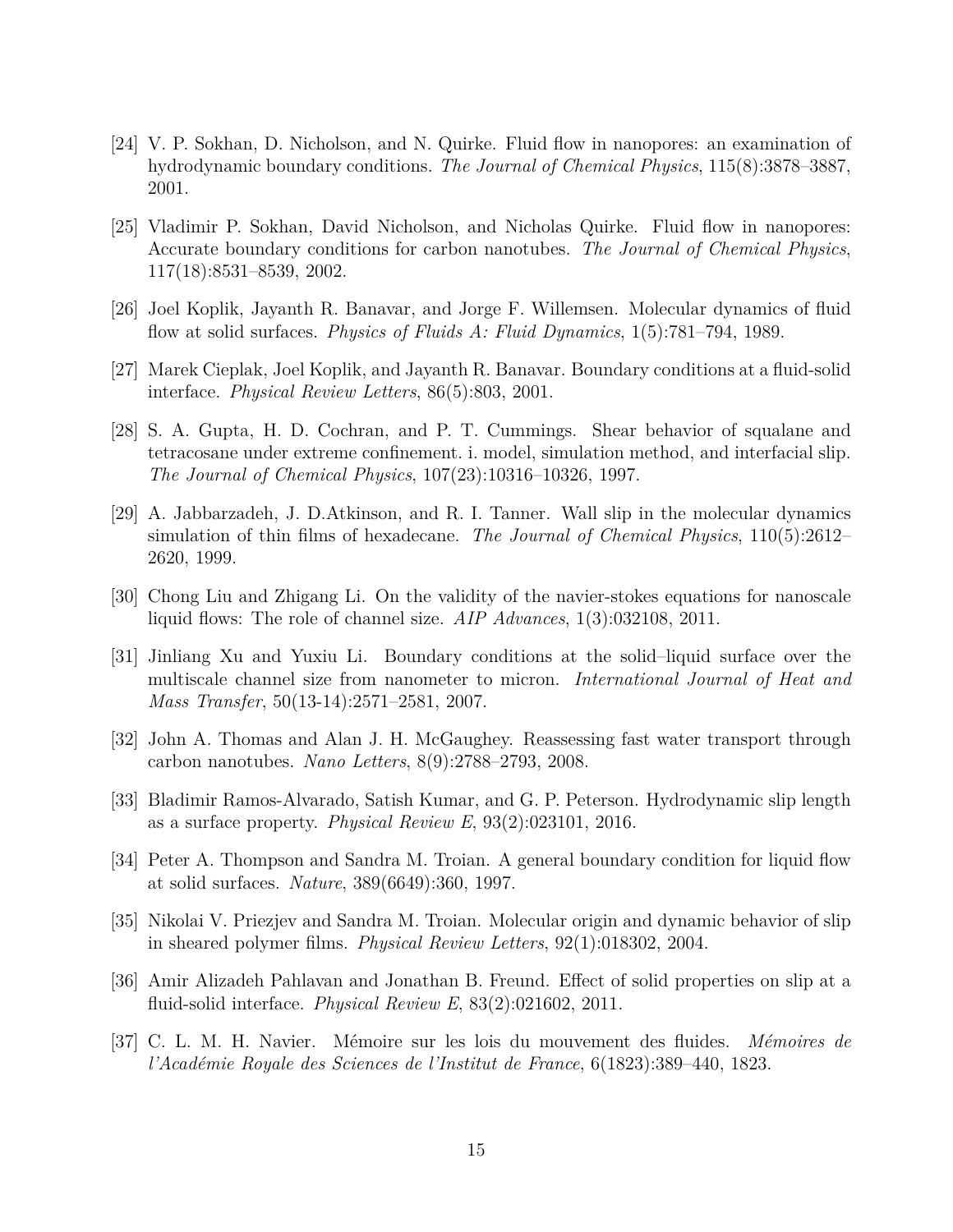- <span id="page-14-0"></span>[24] V. P. Sokhan, D. Nicholson, and N. Quirke. Fluid flow in nanopores: an examination of hydrodynamic boundary conditions. *The Journal of Chemical Physics*, 115(8):3878–3887, 2001.
- <span id="page-14-1"></span>[25] Vladimir P. Sokhan, David Nicholson, and Nicholas Quirke. Fluid flow in nanopores: Accurate boundary conditions for carbon nanotubes. *The Journal of Chemical Physics*, 117(18):8531–8539, 2002.
- <span id="page-14-2"></span>[26] Joel Koplik, Jayanth R. Banavar, and Jorge F. Willemsen. Molecular dynamics of fluid flow at solid surfaces. *Physics of Fluids A: Fluid Dynamics*, 1(5):781–794, 1989.
- <span id="page-14-3"></span>[27] Marek Cieplak, Joel Koplik, and Jayanth R. Banavar. Boundary conditions at a fluid-solid interface. *Physical Review Letters*, 86(5):803, 2001.
- <span id="page-14-4"></span>[28] S. A. Gupta, H. D. Cochran, and P. T. Cummings. Shear behavior of squalane and tetracosane under extreme confinement. i. model, simulation method, and interfacial slip. *The Journal of Chemical Physics*, 107(23):10316–10326, 1997.
- [29] A. Jabbarzadeh, J. D.Atkinson, and R. I. Tanner. Wall slip in the molecular dynamics simulation of thin films of hexadecane. *The Journal of Chemical Physics*, 110(5):2612– 2620, 1999.
- <span id="page-14-5"></span>[30] Chong Liu and Zhigang Li. On the validity of the navier-stokes equations for nanoscale liquid flows: The role of channel size. *AIP Advances*, 1(3):032108, 2011.
- <span id="page-14-6"></span>[31] Jinliang Xu and Yuxiu Li. Boundary conditions at the solid–liquid surface over the multiscale channel size from nanometer to micron. *International Journal of Heat and Mass Transfer*, 50(13-14):2571–2581, 2007.
- [32] John A. Thomas and Alan J. H. McGaughey. Reassessing fast water transport through carbon nanotubes. *Nano Letters*, 8(9):2788–2793, 2008.
- <span id="page-14-7"></span>[33] Bladimir Ramos-Alvarado, Satish Kumar, and G. P. Peterson. Hydrodynamic slip length as a surface property. *Physical Review E*, 93(2):023101, 2016.
- <span id="page-14-8"></span>[34] Peter A. Thompson and Sandra M. Troian. A general boundary condition for liquid flow at solid surfaces. *Nature*, 389(6649):360, 1997.
- <span id="page-14-11"></span>[35] Nikolai V. Priezjev and Sandra M. Troian. Molecular origin and dynamic behavior of slip in sheared polymer films. *Physical Review Letters*, 92(1):018302, 2004.
- <span id="page-14-9"></span>[36] Amir Alizadeh Pahlavan and Jonathan B. Freund. Effect of solid properties on slip at a fluid-solid interface. *Physical Review E*, 83(2):021602, 2011.
- <span id="page-14-10"></span>[37] C. L. M. H. Navier. Mémoire sur les lois du mouvement des fluides. *Mémoires de l'Académie Royale des Sciences de l'Institut de France*, 6(1823):389–440, 1823.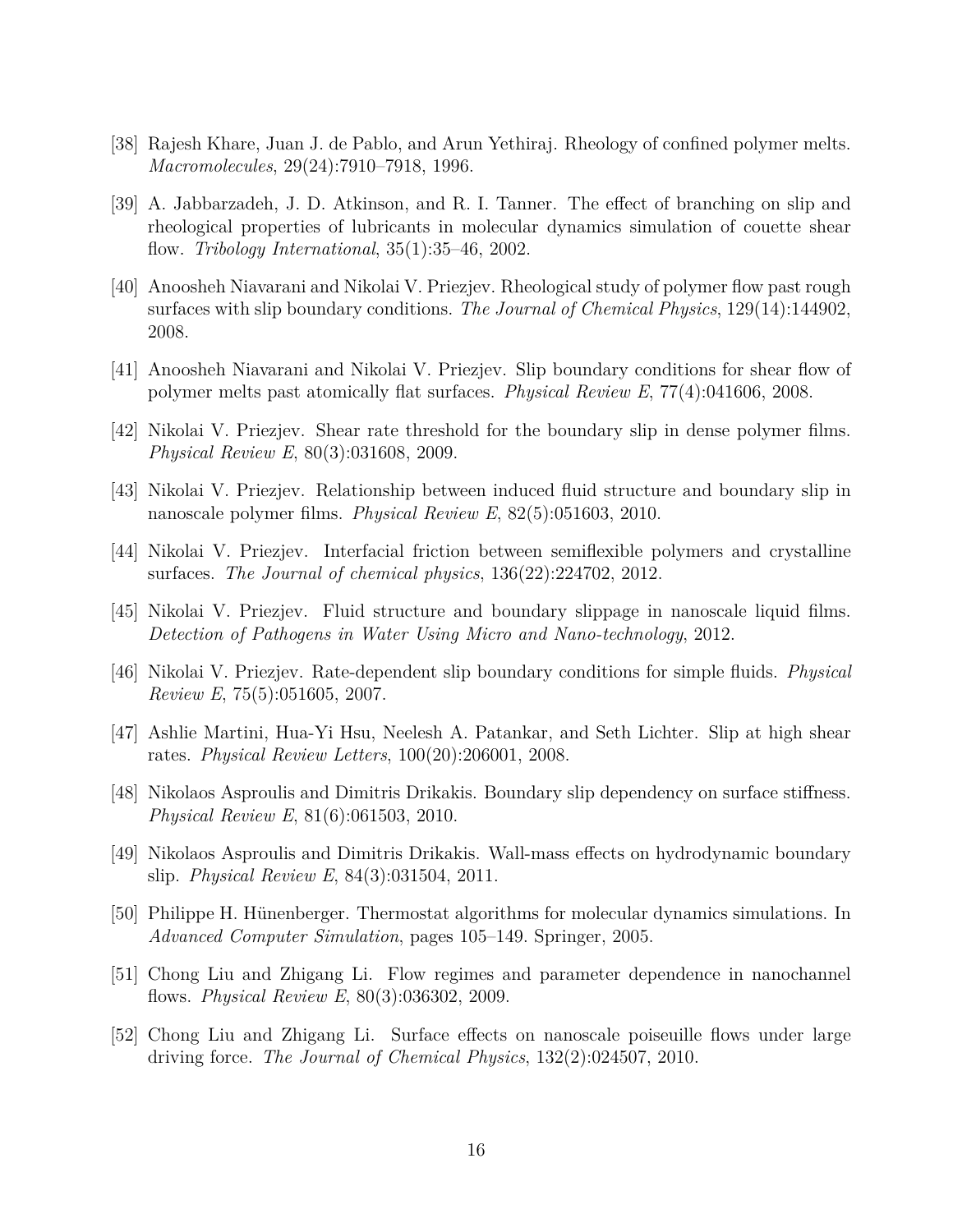- <span id="page-15-0"></span>[38] Rajesh Khare, Juan J. de Pablo, and Arun Yethiraj. Rheology of confined polymer melts. *Macromolecules*, 29(24):7910–7918, 1996.
- [39] A. Jabbarzadeh, J. D. Atkinson, and R. I. Tanner. The effect of branching on slip and rheological properties of lubricants in molecular dynamics simulation of couette shear flow. *Tribology International*, 35(1):35–46, 2002.
- [40] Anoosheh Niavarani and Nikolai V. Priezjev. Rheological study of polymer flow past rough surfaces with slip boundary conditions. *The Journal of Chemical Physics*, 129(14):144902, 2008.
- [41] Anoosheh Niavarani and Nikolai V. Priezjev. Slip boundary conditions for shear flow of polymer melts past atomically flat surfaces. *Physical Review E*, 77(4):041606, 2008.
- [42] Nikolai V. Priezjev. Shear rate threshold for the boundary slip in dense polymer films. *Physical Review E*, 80(3):031608, 2009.
- [43] Nikolai V. Priezjev. Relationship between induced fluid structure and boundary slip in nanoscale polymer films. *Physical Review E*, 82(5):051603, 2010.
- [44] Nikolai V. Priezjev. Interfacial friction between semiflexible polymers and crystalline surfaces. *The Journal of chemical physics*, 136(22):224702, 2012.
- <span id="page-15-1"></span>[45] Nikolai V. Priezjev. Fluid structure and boundary slippage in nanoscale liquid films. *Detection of Pathogens in Water Using Micro and Nano-technology*, 2012.
- <span id="page-15-2"></span>[46] Nikolai V. Priezjev. Rate-dependent slip boundary conditions for simple fluids. *Physical Review E*, 75(5):051605, 2007.
- <span id="page-15-3"></span>[47] Ashlie Martini, Hua-Yi Hsu, Neelesh A. Patankar, and Seth Lichter. Slip at high shear rates. *Physical Review Letters*, 100(20):206001, 2008.
- <span id="page-15-4"></span>[48] Nikolaos Asproulis and Dimitris Drikakis. Boundary slip dependency on surface stiffness. *Physical Review E*, 81(6):061503, 2010.
- <span id="page-15-5"></span>[49] Nikolaos Asproulis and Dimitris Drikakis. Wall-mass effects on hydrodynamic boundary slip. *Physical Review E*, 84(3):031504, 2011.
- <span id="page-15-6"></span>[50] Philippe H. Hünenberger. Thermostat algorithms for molecular dynamics simulations. In *Advanced Computer Simulation*, pages 105–149. Springer, 2005.
- <span id="page-15-7"></span>[51] Chong Liu and Zhigang Li. Flow regimes and parameter dependence in nanochannel flows. *Physical Review E*, 80(3):036302, 2009.
- [52] Chong Liu and Zhigang Li. Surface effects on nanoscale poiseuille flows under large driving force. *The Journal of Chemical Physics*, 132(2):024507, 2010.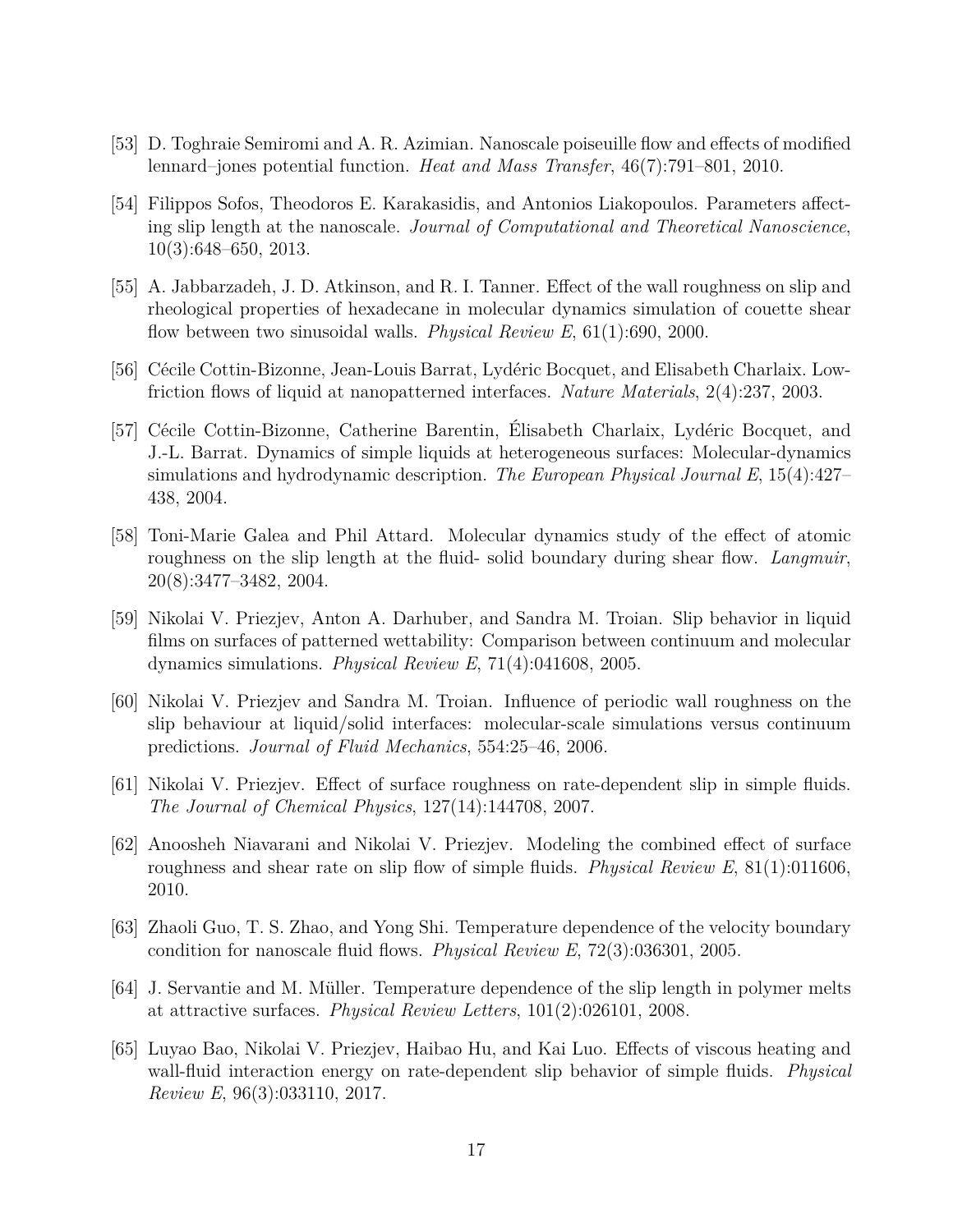- [53] D. Toghraie Semiromi and A. R. Azimian. Nanoscale poiseuille flow and effects of modified lennard–jones potential function. *Heat and Mass Transfer*, 46(7):791–801, 2010.
- <span id="page-16-0"></span>[54] Filippos Sofos, Theodoros E. Karakasidis, and Antonios Liakopoulos. Parameters affecting slip length at the nanoscale. *Journal of Computational and Theoretical Nanoscience*, 10(3):648–650, 2013.
- <span id="page-16-1"></span>[55] A. Jabbarzadeh, J. D. Atkinson, and R. I. Tanner. Effect of the wall roughness on slip and rheological properties of hexadecane in molecular dynamics simulation of couette shear flow between two sinusoidal walls. *Physical Review E*, 61(1):690, 2000.
- [56] Cécile Cottin-Bizonne, Jean-Louis Barrat, Lydéric Bocquet, and Elisabeth Charlaix. Lowfriction flows of liquid at nanopatterned interfaces. *Nature Materials*, 2(4):237, 2003.
- [57] Cécile Cottin-Bizonne, Catherine Barentin, Élisabeth Charlaix, Lydéric Bocquet, and J.-L. Barrat. Dynamics of simple liquids at heterogeneous surfaces: Molecular-dynamics simulations and hydrodynamic description. *The European Physical Journal E*, 15(4):427– 438, 2004.
- [58] Toni-Marie Galea and Phil Attard. Molecular dynamics study of the effect of atomic roughness on the slip length at the fluid- solid boundary during shear flow. *Langmuir*, 20(8):3477–3482, 2004.
- [59] Nikolai V. Priezjev, Anton A. Darhuber, and Sandra M. Troian. Slip behavior in liquid films on surfaces of patterned wettability: Comparison between continuum and molecular dynamics simulations. *Physical Review E*, 71(4):041608, 2005.
- [60] Nikolai V. Priezjev and Sandra M. Troian. Influence of periodic wall roughness on the slip behaviour at liquid/solid interfaces: molecular-scale simulations versus continuum predictions. *Journal of Fluid Mechanics*, 554:25–46, 2006.
- [61] Nikolai V. Priezjev. Effect of surface roughness on rate-dependent slip in simple fluids. *The Journal of Chemical Physics*, 127(14):144708, 2007.
- <span id="page-16-2"></span>[62] Anoosheh Niavarani and Nikolai V. Priezjev. Modeling the combined effect of surface roughness and shear rate on slip flow of simple fluids. *Physical Review E*, 81(1):011606, 2010.
- <span id="page-16-3"></span>[63] Zhaoli Guo, T. S. Zhao, and Yong Shi. Temperature dependence of the velocity boundary condition for nanoscale fluid flows. *Physical Review E*, 72(3):036301, 2005.
- [64] J. Servantie and M. Müller. Temperature dependence of the slip length in polymer melts at attractive surfaces. *Physical Review Letters*, 101(2):026101, 2008.
- <span id="page-16-4"></span>[65] Luyao Bao, Nikolai V. Priezjev, Haibao Hu, and Kai Luo. Effects of viscous heating and wall-fluid interaction energy on rate-dependent slip behavior of simple fluids. *Physical Review E*, 96(3):033110, 2017.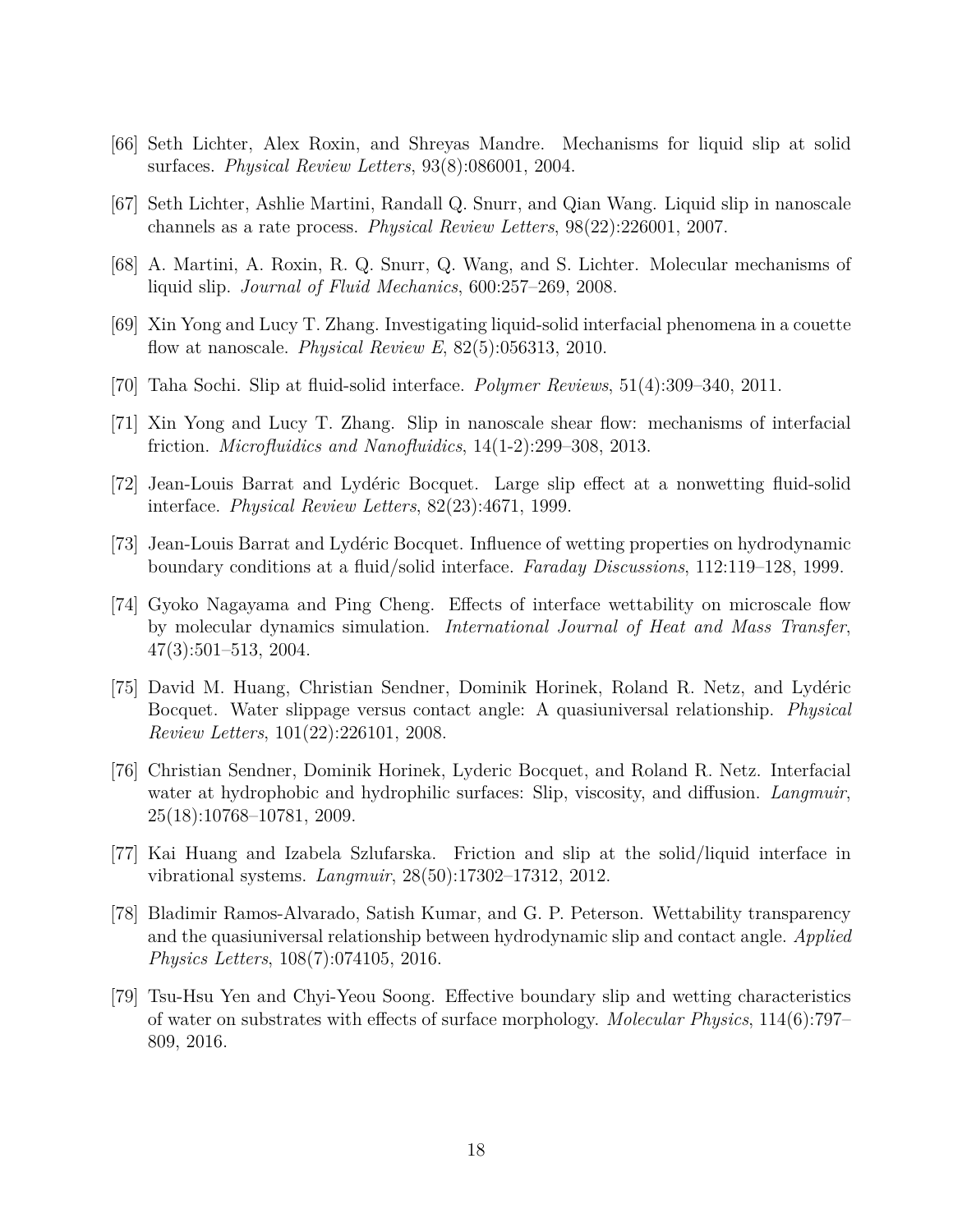- <span id="page-17-0"></span>[66] Seth Lichter, Alex Roxin, and Shreyas Mandre. Mechanisms for liquid slip at solid surfaces. *Physical Review Letters*, 93(8):086001, 2004.
- [67] Seth Lichter, Ashlie Martini, Randall Q. Snurr, and Qian Wang. Liquid slip in nanoscale channels as a rate process. *Physical Review Letters*, 98(22):226001, 2007.
- [68] A. Martini, A. Roxin, R. Q. Snurr, Q. Wang, and S. Lichter. Molecular mechanisms of liquid slip. *Journal of Fluid Mechanics*, 600:257–269, 2008.
- [69] Xin Yong and Lucy T. Zhang. Investigating liquid-solid interfacial phenomena in a couette flow at nanoscale. *Physical Review E*, 82(5):056313, 2010.
- [70] Taha Sochi. Slip at fluid-solid interface. *Polymer Reviews*, 51(4):309–340, 2011.
- <span id="page-17-1"></span>[71] Xin Yong and Lucy T. Zhang. Slip in nanoscale shear flow: mechanisms of interfacial friction. *Microfluidics and Nanofluidics*, 14(1-2):299–308, 2013.
- <span id="page-17-2"></span>[72] Jean-Louis Barrat and Lydéric Bocquet. Large slip effect at a nonwetting fluid-solid interface. *Physical Review Letters*, 82(23):4671, 1999.
- [73] Jean-Louis Barrat and Lydéric Bocquet. Influence of wetting properties on hydrodynamic boundary conditions at a fluid/solid interface. *Faraday Discussions*, 112:119–128, 1999.
- [74] Gyoko Nagayama and Ping Cheng. Effects of interface wettability on microscale flow by molecular dynamics simulation. *International Journal of Heat and Mass Transfer*, 47(3):501–513, 2004.
- [75] David M. Huang, Christian Sendner, Dominik Horinek, Roland R. Netz, and Lydéric Bocquet. Water slippage versus contact angle: A quasiuniversal relationship. *Physical Review Letters*, 101(22):226101, 2008.
- [76] Christian Sendner, Dominik Horinek, Lyderic Bocquet, and Roland R. Netz. Interfacial water at hydrophobic and hydrophilic surfaces: Slip, viscosity, and diffusion. *Langmuir*, 25(18):10768–10781, 2009.
- [77] Kai Huang and Izabela Szlufarska. Friction and slip at the solid/liquid interface in vibrational systems. *Langmuir*, 28(50):17302–17312, 2012.
- [78] Bladimir Ramos-Alvarado, Satish Kumar, and G. P. Peterson. Wettability transparency and the quasiuniversal relationship between hydrodynamic slip and contact angle. *Applied Physics Letters*, 108(7):074105, 2016.
- <span id="page-17-3"></span>[79] Tsu-Hsu Yen and Chyi-Yeou Soong. Effective boundary slip and wetting characteristics of water on substrates with effects of surface morphology. *Molecular Physics*, 114(6):797– 809, 2016.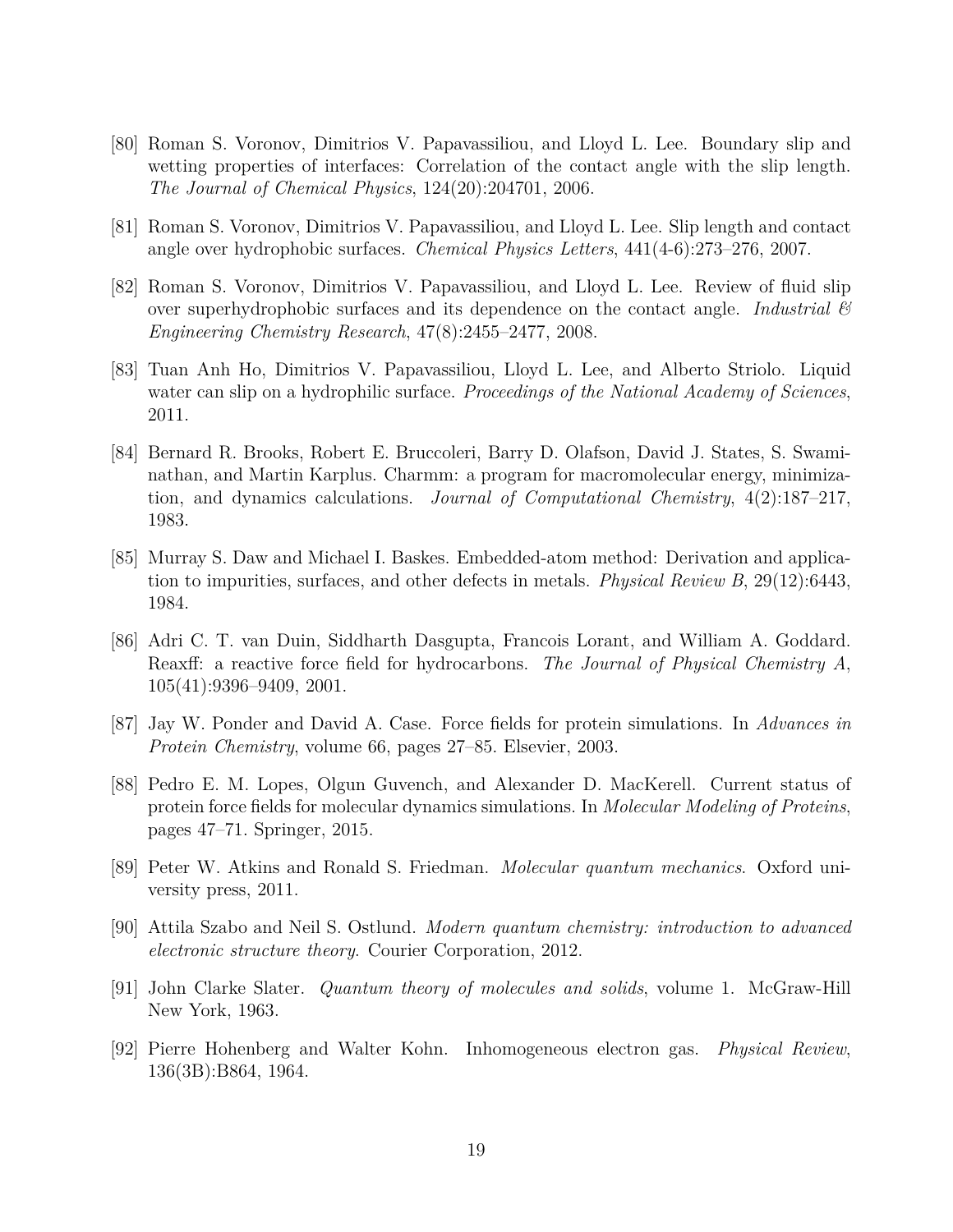- <span id="page-18-0"></span>[80] Roman S. Voronov, Dimitrios V. Papavassiliou, and Lloyd L. Lee. Boundary slip and wetting properties of interfaces: Correlation of the contact angle with the slip length. *The Journal of Chemical Physics*, 124(20):204701, 2006.
- [81] Roman S. Voronov, Dimitrios V. Papavassiliou, and Lloyd L. Lee. Slip length and contact angle over hydrophobic surfaces. *Chemical Physics Letters*, 441(4-6):273–276, 2007.
- [82] Roman S. Voronov, Dimitrios V. Papavassiliou, and Lloyd L. Lee. Review of fluid slip over superhydrophobic surfaces and its dependence on the contact angle. *Industrial & Engineering Chemistry Research*, 47(8):2455–2477, 2008.
- <span id="page-18-1"></span>[83] Tuan Anh Ho, Dimitrios V. Papavassiliou, Lloyd L. Lee, and Alberto Striolo. Liquid water can slip on a hydrophilic surface. *Proceedings of the National Academy of Sciences*, 2011.
- <span id="page-18-2"></span>[84] Bernard R. Brooks, Robert E. Bruccoleri, Barry D. Olafson, David J. States, S. Swaminathan, and Martin Karplus. Charmm: a program for macromolecular energy, minimization, and dynamics calculations. *Journal of Computational Chemistry*, 4(2):187–217, 1983.
- [85] Murray S. Daw and Michael I. Baskes. Embedded-atom method: Derivation and application to impurities, surfaces, and other defects in metals. *Physical Review B*, 29(12):6443, 1984.
- [86] Adri C. T. van Duin, Siddharth Dasgupta, Francois Lorant, and William A. Goddard. Reaxff: a reactive force field for hydrocarbons. *The Journal of Physical Chemistry A*, 105(41):9396–9409, 2001.
- [87] Jay W. Ponder and David A. Case. Force fields for protein simulations. In *Advances in Protein Chemistry*, volume 66, pages 27–85. Elsevier, 2003.
- <span id="page-18-3"></span>[88] Pedro E. M. Lopes, Olgun Guvench, and Alexander D. MacKerell. Current status of protein force fields for molecular dynamics simulations. In *Molecular Modeling of Proteins*, pages 47–71. Springer, 2015.
- <span id="page-18-4"></span>[89] Peter W. Atkins and Ronald S. Friedman. *Molecular quantum mechanics*. Oxford university press, 2011.
- <span id="page-18-5"></span>[90] Attila Szabo and Neil S. Ostlund. *Modern quantum chemistry: introduction to advanced electronic structure theory*. Courier Corporation, 2012.
- <span id="page-18-6"></span>[91] John Clarke Slater. *Quantum theory of molecules and solids*, volume 1. McGraw-Hill New York, 1963.
- <span id="page-18-7"></span>[92] Pierre Hohenberg and Walter Kohn. Inhomogeneous electron gas. *Physical Review*, 136(3B):B864, 1964.